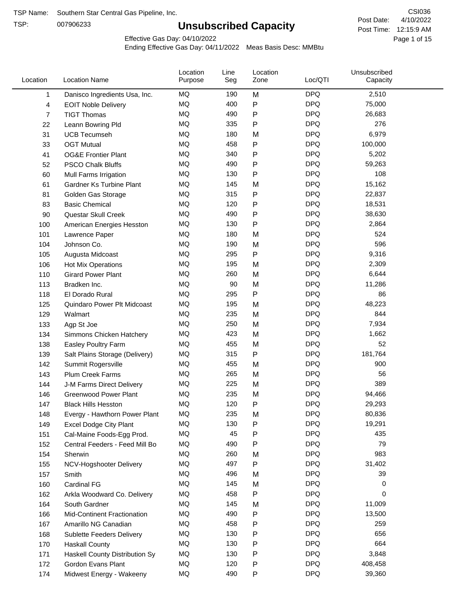TSP:

# **Unsubscribed Capacity**

4/10/2022 Page 1 of 15 Post Time: 12:15:9 AM CSI036 Post Date:

Effective Gas Day: 04/10/2022

| Location     | <b>Location Name</b>               | Location<br>Purpose | Line<br>Seg | Location<br>Zone | Loc/QTI    | Unsubscribed<br>Capacity |  |
|--------------|------------------------------------|---------------------|-------------|------------------|------------|--------------------------|--|
| $\mathbf{1}$ | Danisco Ingredients Usa, Inc.      | MQ                  | 190         | M                | <b>DPQ</b> | 2,510                    |  |
| 4            | <b>EOIT Noble Delivery</b>         | MQ                  | 400         | P                | <b>DPQ</b> | 75,000                   |  |
| 7            | <b>TIGT Thomas</b>                 | <b>MQ</b>           | 490         | P                | <b>DPQ</b> | 26,683                   |  |
| 22           | Leann Bowring Pld                  | <b>MQ</b>           | 335         | P                | <b>DPQ</b> | 276                      |  |
| 31           | <b>UCB Tecumseh</b>                | <b>MQ</b>           | 180         | M                | <b>DPQ</b> | 6,979                    |  |
| 33           | <b>OGT Mutual</b>                  | <b>MQ</b>           | 458         | P                | <b>DPQ</b> | 100,000                  |  |
| 41           | <b>OG&amp;E Frontier Plant</b>     | MQ                  | 340         | P                | <b>DPQ</b> | 5,202                    |  |
| 52           | <b>PSCO Chalk Bluffs</b>           | MQ                  | 490         | P                | <b>DPQ</b> | 59,263                   |  |
| 60           | Mull Farms Irrigation              | <b>MQ</b>           | 130         | P                | <b>DPQ</b> | 108                      |  |
| 61           | Gardner Ks Turbine Plant           | <b>MQ</b>           | 145         | M                | <b>DPQ</b> | 15,162                   |  |
| 81           | Golden Gas Storage                 | MQ                  | 315         | P                | <b>DPQ</b> | 22,837                   |  |
| 83           | <b>Basic Chemical</b>              | <b>MQ</b>           | 120         | P                | <b>DPQ</b> | 18,531                   |  |
| 90           | Questar Skull Creek                | MQ                  | 490         | P                | <b>DPQ</b> | 38,630                   |  |
| 100          | American Energies Hesston          | <b>MQ</b>           | 130         | P                | <b>DPQ</b> | 2,864                    |  |
| 101          | Lawrence Paper                     | <b>MQ</b>           | 180         | M                | <b>DPQ</b> | 524                      |  |
| 104          | Johnson Co.                        | MQ                  | 190         | M                | <b>DPQ</b> | 596                      |  |
| 105          | Augusta Midcoast                   | <b>MQ</b>           | 295         | P                | <b>DPQ</b> | 9,316                    |  |
| 106          | Hot Mix Operations                 | <b>MQ</b>           | 195         | M                | <b>DPQ</b> | 2,309                    |  |
| 110          | <b>Girard Power Plant</b>          | <b>MQ</b>           | 260         | M                | <b>DPQ</b> | 6,644                    |  |
| 113          | Bradken Inc.                       | MQ                  | 90          | M                | <b>DPQ</b> | 11,286                   |  |
| 118          | El Dorado Rural                    | MQ                  | 295         | P                | <b>DPQ</b> | 86                       |  |
| 125          | Quindaro Power Plt Midcoast        | <b>MQ</b>           | 195         | M                | <b>DPQ</b> | 48,223                   |  |
| 129          | Walmart                            | <b>MQ</b>           | 235         | M                | <b>DPQ</b> | 844                      |  |
| 133          | Agp St Joe                         | <b>MQ</b>           | 250         | M                | <b>DPQ</b> | 7,934                    |  |
| 134          | Simmons Chicken Hatchery           | <b>MQ</b>           | 423         | M                | <b>DPQ</b> | 1,662                    |  |
| 138          | Easley Poultry Farm                | MQ                  | 455         | M                | <b>DPQ</b> | 52                       |  |
| 139          | Salt Plains Storage (Delivery)     | MQ                  | 315         | P                | <b>DPQ</b> | 181,764                  |  |
| 142          | Summit Rogersville                 | MQ                  | 455         | M                | <b>DPQ</b> | 900                      |  |
| 143          | <b>Plum Creek Farms</b>            | MQ                  | 265         | M                | <b>DPQ</b> | 56                       |  |
| 144          | J-M Farms Direct Delivery          | MQ                  | 225         | M                | <b>DPQ</b> | 389                      |  |
| 146          | <b>Greenwood Power Plant</b>       | MQ                  | 235         | M                | <b>DPQ</b> | 94,466                   |  |
| 147          | <b>Black Hills Hesston</b>         | MQ                  | 120         | Ρ                | <b>DPQ</b> | 29,293                   |  |
| 148          | Evergy - Hawthorn Power Plant      | ΜQ                  | 235         | M                | <b>DPQ</b> | 80,836                   |  |
| 149          | <b>Excel Dodge City Plant</b>      | MQ                  | 130         | Ρ                | <b>DPQ</b> | 19,291                   |  |
| 151          | Cal-Maine Foods-Egg Prod.          | MQ                  | 45          | P                | <b>DPQ</b> | 435                      |  |
| 152          | Central Feeders - Feed Mill Bo     | MQ                  | 490         | P                | <b>DPQ</b> | 79                       |  |
| 154          | Sherwin                            | MQ                  | 260         | M                | <b>DPQ</b> | 983                      |  |
| 155          | NCV-Hogshooter Delivery            | MQ                  | 497         | P                | <b>DPQ</b> | 31,402                   |  |
| 157          | Smith                              | MQ                  | 496         | M                | <b>DPQ</b> | 39                       |  |
| 160          | Cardinal FG                        | MQ                  | 145         | M                | <b>DPQ</b> | 0                        |  |
| 162          | Arkla Woodward Co. Delivery        | MQ                  | 458         | P                | <b>DPQ</b> | 0                        |  |
| 164          | South Gardner                      | MQ                  | 145         | M                | <b>DPQ</b> | 11,009                   |  |
| 166          | <b>Mid-Continent Fractionation</b> | MQ                  | 490         | Ρ                | <b>DPQ</b> | 13,500                   |  |
| 167          | Amarillo NG Canadian               | MQ                  | 458         | Ρ                | <b>DPQ</b> | 259                      |  |
| 168          | <b>Sublette Feeders Delivery</b>   | MQ                  | 130         | Ρ                | <b>DPQ</b> | 656                      |  |
| 170          | <b>Haskall County</b>              | MQ                  | 130         | P                | <b>DPQ</b> | 664                      |  |
| 171          | Haskell County Distribution Sy     | MQ                  | 130         | Ρ                | <b>DPQ</b> | 3,848                    |  |
| 172          | Gordon Evans Plant                 | MQ                  | 120         | Ρ                | <b>DPQ</b> | 408,458                  |  |
| 174          | Midwest Energy - Wakeeny           | MQ                  | 490         | P                | <b>DPQ</b> | 39,360                   |  |
|              |                                    |                     |             |                  |            |                          |  |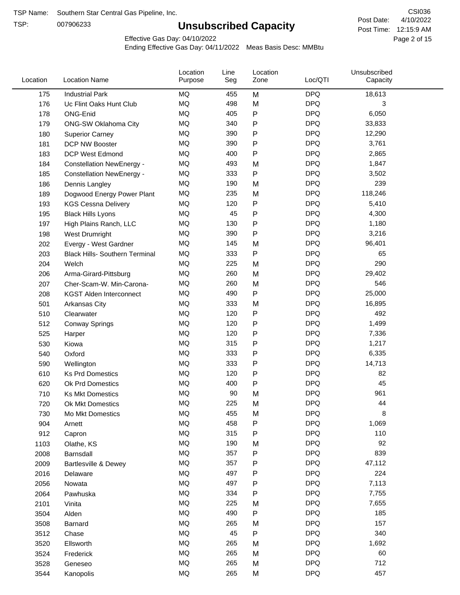TSP:

# **Unsubscribed Capacity**

4/10/2022 Page 2 of 15 Post Time: 12:15:9 AM CSI036 Post Date:

Effective Gas Day: 04/10/2022

| Location | <b>Location Name</b>                  | Location<br>Purpose | Line<br>Seg | Location<br>Zone | Loc/QTI    | Unsubscribed<br>Capacity |  |
|----------|---------------------------------------|---------------------|-------------|------------------|------------|--------------------------|--|
| 175      | <b>Industrial Park</b>                | <b>MQ</b>           | 455         | M                | <b>DPQ</b> | 18,613                   |  |
| 176      | Uc Flint Oaks Hunt Club               | MQ                  | 498         | M                | <b>DPQ</b> | 3                        |  |
| 178      | ONG-Enid                              | <b>MQ</b>           | 405         | P                | <b>DPQ</b> | 6,050                    |  |
| 179      | <b>ONG-SW Oklahoma City</b>           | <b>MQ</b>           | 340         | P                | <b>DPQ</b> | 33,833                   |  |
| 180      | <b>Superior Carney</b>                | <b>MQ</b>           | 390         | P                | <b>DPQ</b> | 12,290                   |  |
| 181      | DCP NW Booster                        | <b>MQ</b>           | 390         | P                | <b>DPQ</b> | 3,761                    |  |
| 183      | <b>DCP West Edmond</b>                | MQ                  | 400         | P                | <b>DPQ</b> | 2,865                    |  |
| 184      | <b>Constellation NewEnergy -</b>      | MQ                  | 493         | M                | <b>DPQ</b> | 1,847                    |  |
| 185      | <b>Constellation NewEnergy -</b>      | MQ                  | 333         | P                | <b>DPQ</b> | 3,502                    |  |
| 186      | Dennis Langley                        | <b>MQ</b>           | 190         | M                | <b>DPQ</b> | 239                      |  |
| 189      | Dogwood Energy Power Plant            | MQ                  | 235         | M                | <b>DPQ</b> | 118,246                  |  |
| 193      | <b>KGS Cessna Delivery</b>            | <b>MQ</b>           | 120         | P                | <b>DPQ</b> | 5,410                    |  |
| 195      | <b>Black Hills Lyons</b>              | MQ                  | 45          | P                | <b>DPQ</b> | 4,300                    |  |
| 197      | High Plains Ranch, LLC                | MQ                  | 130         | P                | <b>DPQ</b> | 1,180                    |  |
| 198      | West Drumright                        | MQ                  | 390         | P                | <b>DPQ</b> | 3,216                    |  |
| 202      | Evergy - West Gardner                 | MQ                  | 145         | M                | <b>DPQ</b> | 96,401                   |  |
| 203      | <b>Black Hills- Southern Terminal</b> | MQ                  | 333         | P                | <b>DPQ</b> | 65                       |  |
| 204      | Welch                                 | <b>MQ</b>           | 225         | M                | <b>DPQ</b> | 290                      |  |
| 206      | Arma-Girard-Pittsburg                 | <b>MQ</b>           | 260         | M                | <b>DPQ</b> | 29,402                   |  |
| 207      | Cher-Scam-W. Min-Carona-              | MQ                  | 260         | M                | <b>DPQ</b> | 546                      |  |
| 208      | <b>KGST Alden Interconnect</b>        | MQ                  | 490         | P                | <b>DPQ</b> | 25,000                   |  |
| 501      | Arkansas City                         | MQ                  | 333         | M                | <b>DPQ</b> | 16,895                   |  |
| 510      | Clearwater                            | MQ                  | 120         | P                | <b>DPQ</b> | 492                      |  |
| 512      | <b>Conway Springs</b>                 | <b>MQ</b>           | 120         | P                | <b>DPQ</b> | 1,499                    |  |
| 525      | Harper                                | <b>MQ</b>           | 120         | P                | <b>DPQ</b> | 7,336                    |  |
| 530      | Kiowa                                 | <b>MQ</b>           | 315         | P                | <b>DPQ</b> | 1,217                    |  |
| 540      | Oxford                                | <b>MQ</b>           | 333         | Ρ                | <b>DPQ</b> | 6,335                    |  |
| 590      | Wellington                            | MQ                  | 333         | P                | <b>DPQ</b> | 14,713                   |  |
| 610      | <b>Ks Prd Domestics</b>               | MQ                  | 120         | P                | <b>DPQ</b> | 82                       |  |
| 620      | Ok Prd Domestics                      | <b>MQ</b>           | 400         | P                | <b>DPQ</b> | 45                       |  |
| 710      | <b>Ks Mkt Domestics</b>               | <b>MQ</b>           | 90          | M                | <b>DPQ</b> | 961                      |  |
| 720      | Ok Mkt Domestics                      | MQ                  | 225         | M                | <b>DPQ</b> | 44                       |  |
| 730      | Mo Mkt Domestics                      | MQ                  | 455         | M                | <b>DPQ</b> | 8                        |  |
| 904      | Arnett                                | $\sf{MQ}$           | 458         | Ρ                | <b>DPQ</b> | 1,069                    |  |
| 912      | Capron                                | MQ                  | 315         | P                | <b>DPQ</b> | 110                      |  |
| 1103     | Olathe, KS                            | MQ                  | 190         | M                | <b>DPQ</b> | 92                       |  |
| 2008     | Barnsdall                             | MQ                  | 357         | P                | <b>DPQ</b> | 839                      |  |
| 2009     | Bartlesville & Dewey                  | MQ                  | 357         | Ρ                | <b>DPQ</b> | 47,112                   |  |
| 2016     | Delaware                              | $\sf{MQ}$           | 497         | Ρ                | <b>DPQ</b> | 224                      |  |
| 2056     | Nowata                                | $\sf{MQ}$           | 497         | Ρ                | <b>DPQ</b> | 7,113                    |  |
| 2064     | Pawhuska                              | MQ                  | 334         | Ρ                | <b>DPQ</b> | 7,755                    |  |
| 2101     | Vinita                                | MQ                  | 225         | M                | <b>DPQ</b> | 7,655                    |  |
| 3504     | Alden                                 | MQ                  | 490         | P                | <b>DPQ</b> | 185                      |  |
| 3508     | Barnard                               | MQ                  | 265         | M                | <b>DPQ</b> | 157                      |  |
| 3512     | Chase                                 | MQ                  | 45          | P                | <b>DPQ</b> | 340                      |  |
| 3520     | Ellsworth                             | MQ                  | 265         | M                | <b>DPQ</b> | 1,692                    |  |
| 3524     | Frederick                             | MQ                  | 265         | M                | <b>DPQ</b> | 60                       |  |
| 3528     | Geneseo                               | $\sf{MQ}$           | 265         | M                | <b>DPQ</b> | 712                      |  |
| 3544     | Kanopolis                             | $\sf{MQ}$           | 265         | M                | <b>DPQ</b> | 457                      |  |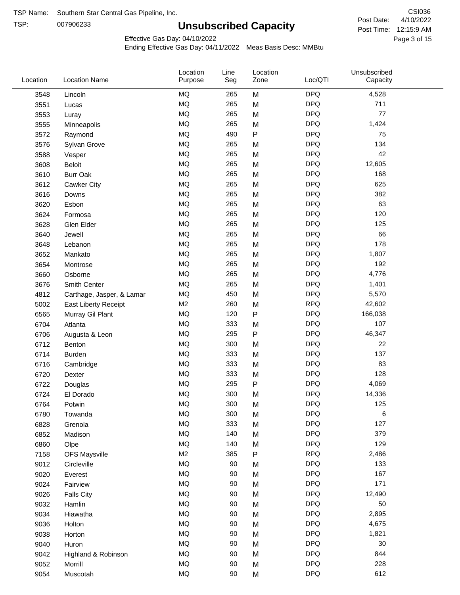TSP: 

# **Unsubscribed Capacity**

4/10/2022 Page 3 of 15 Post Time: 12:15:9 AM CSI036 Post Date:

Effective Gas Day: 04/10/2022

| Location | <b>Location Name</b>      | Location<br>Purpose | Line<br>Seg | Location<br>Zone | Loc/QTI    | Unsubscribed<br>Capacity |  |
|----------|---------------------------|---------------------|-------------|------------------|------------|--------------------------|--|
| 3548     | Lincoln                   | MQ                  | 265         | M                | <b>DPQ</b> | 4,528                    |  |
| 3551     | Lucas                     | MQ                  | 265         | M                | <b>DPQ</b> | 711                      |  |
| 3553     | Luray                     | MQ                  | 265         | M                | <b>DPQ</b> | 77                       |  |
| 3555     | Minneapolis               | <b>MQ</b>           | 265         | M                | <b>DPQ</b> | 1,424                    |  |
| 3572     | Raymond                   | <b>MQ</b>           | 490         | $\sf P$          | <b>DPQ</b> | 75                       |  |
| 3576     | Sylvan Grove              | MQ                  | 265         | M                | <b>DPQ</b> | 134                      |  |
| 3588     | Vesper                    | MQ                  | 265         | M                | <b>DPQ</b> | 42                       |  |
| 3608     | <b>Beloit</b>             | MQ                  | 265         | M                | <b>DPQ</b> | 12,605                   |  |
| 3610     | <b>Burr Oak</b>           | MQ                  | 265         | M                | <b>DPQ</b> | 168                      |  |
| 3612     | <b>Cawker City</b>        | MQ                  | 265         | M                | <b>DPQ</b> | 625                      |  |
| 3616     | Downs                     | MQ                  | 265         | M                | <b>DPQ</b> | 382                      |  |
| 3620     | Esbon                     | MQ                  | 265         | M                | <b>DPQ</b> | 63                       |  |
| 3624     | Formosa                   | MQ                  | 265         | M                | <b>DPQ</b> | 120                      |  |
| 3628     | Glen Elder                | MQ                  | 265         | M                | <b>DPQ</b> | 125                      |  |
| 3640     | Jewell                    | <b>MQ</b>           | 265         | M                | <b>DPQ</b> | 66                       |  |
| 3648     | Lebanon                   | MQ                  | 265         | M                | <b>DPQ</b> | 178                      |  |
| 3652     | Mankato                   | MQ                  | 265         | M                | <b>DPQ</b> | 1,807                    |  |
| 3654     | Montrose                  | <b>MQ</b>           | 265         | M                | <b>DPQ</b> | 192                      |  |
| 3660     | Osborne                   | <b>MQ</b>           | 265         | M                | <b>DPQ</b> | 4,776                    |  |
| 3676     | Smith Center              | MQ                  | 265         | M                | <b>DPQ</b> | 1,401                    |  |
| 4812     | Carthage, Jasper, & Lamar | MQ                  | 450         | M                | <b>DPQ</b> | 5,570                    |  |
| 5002     | East Liberty Receipt      | M <sub>2</sub>      | 260         | M                | <b>RPQ</b> | 42,602                   |  |
| 6565     | Murray Gil Plant          | MQ                  | 120         | $\mathsf{P}$     | <b>DPQ</b> | 166,038                  |  |
| 6704     | Atlanta                   | MQ                  | 333         | M                | <b>DPQ</b> | 107                      |  |
| 6706     | Augusta & Leon            | MQ                  | 295         | ${\sf P}$        | <b>DPQ</b> | 46,347                   |  |
| 6712     | Benton                    | MQ                  | 300         | M                | <b>DPQ</b> | 22                       |  |
| 6714     | <b>Burden</b>             | <b>MQ</b>           | 333         | M                | <b>DPQ</b> | 137                      |  |
| 6716     | Cambridge                 | MQ                  | 333         | M                | <b>DPQ</b> | 83                       |  |
| 6720     | Dexter                    | MQ                  | 333         | M                | <b>DPQ</b> | 128                      |  |
| 6722     | Douglas                   | MQ                  | 295         | ${\sf P}$        | <b>DPQ</b> | 4,069                    |  |
| 6724     | El Dorado                 | MQ                  | 300         | M                | <b>DPQ</b> | 14,336                   |  |
| 6764     | Potwin                    | MQ                  | 300         | M                | <b>DPQ</b> | 125                      |  |
| 6780     | Towanda                   | MQ                  | 300         | M                | <b>DPQ</b> | 6                        |  |
| 6828     | Grenola                   | MQ                  | 333         | M                | <b>DPQ</b> | 127                      |  |
| 6852     | Madison                   | MQ                  | 140         | M                | <b>DPQ</b> | 379                      |  |
| 6860     | Olpe                      | MQ                  | 140         | M                | <b>DPQ</b> | 129                      |  |
| 7158     | <b>OFS Maysville</b>      | M <sub>2</sub>      | 385         | ${\sf P}$        | <b>RPQ</b> | 2,486                    |  |
| 9012     | Circleville               | MQ                  | 90          | M                | <b>DPQ</b> | 133                      |  |
| 9020     | Everest                   | $\sf{MQ}$           | 90          | M                | <b>DPQ</b> | 167                      |  |
| 9024     | Fairview                  | MQ                  | 90          | M                | <b>DPQ</b> | 171                      |  |
| 9026     | <b>Falls City</b>         | MQ                  | 90          | M                | <b>DPQ</b> | 12,490                   |  |
| 9032     | Hamlin                    | MQ                  | 90          | M                | <b>DPQ</b> | 50                       |  |
| 9034     | Hiawatha                  | MQ                  | $90\,$      | M                | <b>DPQ</b> | 2,895                    |  |
| 9036     | Holton                    | MQ                  | $90\,$      | M                | <b>DPQ</b> | 4,675                    |  |
| 9038     | Horton                    | MQ                  | 90          | M                | <b>DPQ</b> | 1,821                    |  |
| 9040     | Huron                     | MQ                  | 90          | M                | <b>DPQ</b> | 30                       |  |
| 9042     | Highland & Robinson       | MQ                  | 90          | M                | <b>DPQ</b> | 844                      |  |
| 9052     | Morrill                   | MQ                  | 90          | M                | <b>DPQ</b> | 228                      |  |
| 9054     | Muscotah                  | MQ                  | $90\,$      | M                | <b>DPQ</b> | 612                      |  |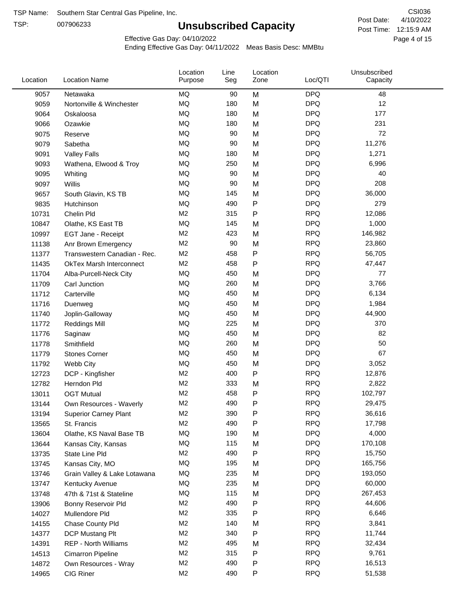TSP:

# **Unsubscribed Capacity**

4/10/2022 Page 4 of 15 Post Time: 12:15:9 AM CSI036 Post Date:

Effective Gas Day: 04/10/2022

| Location | <b>Location Name</b>            | Location<br>Purpose | Line<br>Seg | Location<br>Zone | Loc/QTI    | Unsubscribed<br>Capacity |  |
|----------|---------------------------------|---------------------|-------------|------------------|------------|--------------------------|--|
| 9057     | Netawaka                        | MQ                  | 90          | M                | <b>DPQ</b> | 48                       |  |
| 9059     | Nortonville & Winchester        | <b>MQ</b>           | 180         | M                | <b>DPQ</b> | 12                       |  |
| 9064     | Oskaloosa                       | MQ                  | 180         | M                | <b>DPQ</b> | 177                      |  |
| 9066     | Ozawkie                         | <b>MQ</b>           | 180         | M                | <b>DPQ</b> | 231                      |  |
| 9075     | Reserve                         | <b>MQ</b>           | 90          | M                | <b>DPQ</b> | 72                       |  |
| 9079     | Sabetha                         | <b>MQ</b>           | 90          | M                | <b>DPQ</b> | 11,276                   |  |
| 9091     | <b>Valley Falls</b>             | <b>MQ</b>           | 180         | M                | <b>DPQ</b> | 1,271                    |  |
| 9093     | Wathena, Elwood & Troy          | <b>MQ</b>           | 250         | M                | <b>DPQ</b> | 6,996                    |  |
| 9095     | Whiting                         | MQ                  | 90          | M                | <b>DPQ</b> | 40                       |  |
| 9097     | Willis                          | <b>MQ</b>           | 90          | M                | <b>DPQ</b> | 208                      |  |
| 9657     | South Glavin, KS TB             | <b>MQ</b>           | 145         | M                | <b>DPQ</b> | 36,000                   |  |
| 9835     | Hutchinson                      | MQ                  | 490         | P                | <b>DPQ</b> | 279                      |  |
| 10731    | Chelin Pld                      | M <sub>2</sub>      | 315         | P                | <b>RPQ</b> | 12,086                   |  |
| 10847    | Olathe, KS East TB              | <b>MQ</b>           | 145         | M                | <b>DPQ</b> | 1,000                    |  |
| 10997    | EGT Jane - Receipt              | M <sub>2</sub>      | 423         | M                | <b>RPQ</b> | 146,982                  |  |
| 11138    | Anr Brown Emergency             | M <sub>2</sub>      | 90          | M                | <b>RPQ</b> | 23,860                   |  |
| 11377    | Transwestern Canadian - Rec.    | M <sub>2</sub>      | 458         | P                | <b>RPQ</b> | 56,705                   |  |
| 11435    | <b>OkTex Marsh Interconnect</b> | M <sub>2</sub>      | 458         | Ρ                | <b>RPQ</b> | 47,447                   |  |
| 11704    | Alba-Purcell-Neck City          | MQ                  | 450         | M                | <b>DPQ</b> | 77                       |  |
| 11709    | Carl Junction                   | <b>MQ</b>           | 260         | M                | <b>DPQ</b> | 3,766                    |  |
| 11712    | Carterville                     | <b>MQ</b>           | 450         | M                | <b>DPQ</b> | 6,134                    |  |
| 11716    | Duenweg                         | <b>MQ</b>           | 450         | M                | <b>DPQ</b> | 1,984                    |  |
| 11740    | Joplin-Galloway                 | <b>MQ</b>           | 450         | M                | <b>DPQ</b> | 44,900                   |  |
| 11772    | <b>Reddings Mill</b>            | <b>MQ</b>           | 225         | M                | <b>DPQ</b> | 370                      |  |
| 11776    | Saginaw                         | <b>MQ</b>           | 450         | M                | <b>DPQ</b> | 82                       |  |
| 11778    | Smithfield                      | <b>MQ</b>           | 260         | M                | <b>DPQ</b> | 50                       |  |
| 11779    | <b>Stones Corner</b>            | <b>MQ</b>           | 450         | M                | <b>DPQ</b> | 67                       |  |
| 11792    | Webb City                       | <b>MQ</b>           | 450         | M                | <b>DPQ</b> | 3,052                    |  |
| 12723    | DCP - Kingfisher                | M <sub>2</sub>      | 400         | P                | <b>RPQ</b> | 12,876                   |  |
| 12782    | Herndon Pld                     | M <sub>2</sub>      | 333         | M                | <b>RPQ</b> | 2,822                    |  |
| 13011    | <b>OGT Mutual</b>               | M <sub>2</sub>      | 458         | P                | <b>RPQ</b> | 102,797                  |  |
| 13144    | Own Resources - Waverly         | M <sub>2</sub>      | 490         | P                | <b>RPQ</b> | 29,475                   |  |
| 13194    | <b>Superior Carney Plant</b>    | M <sub>2</sub>      | 390         | P                | <b>RPQ</b> | 36,616                   |  |
| 13565    | St. Francis                     | M <sub>2</sub>      | 490         | Ρ                | <b>RPQ</b> | 17,798                   |  |
| 13604    | Olathe, KS Naval Base TB        | MQ                  | 190         | M                | <b>DPQ</b> | 4,000                    |  |
| 13644    | Kansas City, Kansas             | MQ                  | 115         | M                | <b>DPQ</b> | 170,108                  |  |
| 13735    | State Line Pld                  | M <sub>2</sub>      | 490         | Ρ                | <b>RPQ</b> | 15,750                   |  |
| 13745    | Kansas City, MO                 | MQ                  | 195         | M                | <b>DPQ</b> | 165,756                  |  |
| 13746    | Grain Valley & Lake Lotawana    | MQ                  | 235         | M                | <b>DPQ</b> | 193,050                  |  |
| 13747    | Kentucky Avenue                 | MQ                  | 235         | M                | <b>DPQ</b> | 60,000                   |  |
| 13748    | 47th & 71st & Stateline         | MQ                  | 115         | M                | <b>DPQ</b> | 267,453                  |  |
| 13906    | Bonny Reservoir Pld             | M <sub>2</sub>      | 490         | Ρ                | <b>RPQ</b> | 44,606                   |  |
| 14027    | Mullendore Pld                  | M <sub>2</sub>      | 335         | P                | <b>RPQ</b> | 6,646                    |  |
| 14155    | Chase County Pld                | M <sub>2</sub>      | 140         | M                | <b>RPQ</b> | 3,841                    |  |
| 14377    | DCP Mustang Plt                 | M <sub>2</sub>      | 340         | Ρ                | <b>RPQ</b> | 11,744                   |  |
| 14391    | <b>REP - North Williams</b>     | M <sub>2</sub>      | 495         | M                | <b>RPQ</b> | 32,434                   |  |
| 14513    | Cimarron Pipeline               | M <sub>2</sub>      | 315         | Ρ                | <b>RPQ</b> | 9,761                    |  |
| 14872    | Own Resources - Wray            | M <sub>2</sub>      | 490         | P                | <b>RPQ</b> | 16,513                   |  |
| 14965    | CIG Riner                       | M <sub>2</sub>      | 490         | P                | <b>RPQ</b> | 51,538                   |  |
|          |                                 |                     |             |                  |            |                          |  |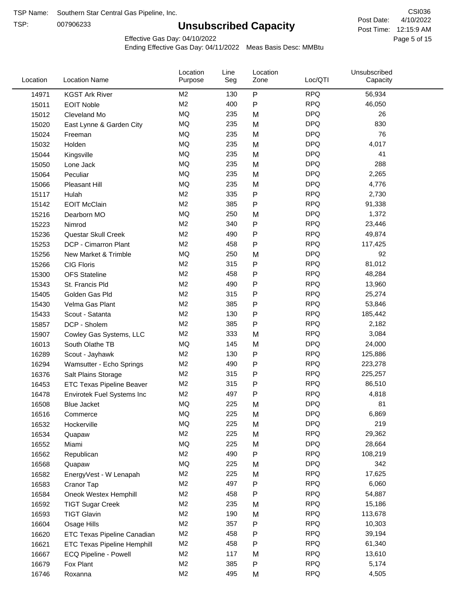TSP:

# **Unsubscribed Capacity**

4/10/2022 Page 5 of 15 Post Time: 12:15:9 AM CSI036 Post Date:

Effective Gas Day: 04/10/2022

| Location | <b>Location Name</b>               | Location<br>Purpose | Line<br>Seg | Location<br>Zone | Loc/QTI    | Unsubscribed<br>Capacity |  |
|----------|------------------------------------|---------------------|-------------|------------------|------------|--------------------------|--|
| 14971    | <b>KGST Ark River</b>              | M <sub>2</sub>      | 130         | P                | <b>RPQ</b> | 56,934                   |  |
| 15011    | <b>EOIT Noble</b>                  | M <sub>2</sub>      | 400         | P                | <b>RPQ</b> | 46,050                   |  |
| 15012    | Cleveland Mo                       | <b>MQ</b>           | 235         | M                | <b>DPQ</b> | 26                       |  |
| 15020    | East Lynne & Garden City           | <b>MQ</b>           | 235         | M                | <b>DPQ</b> | 830                      |  |
| 15024    | Freeman                            | <b>MQ</b>           | 235         | M                | <b>DPQ</b> | 76                       |  |
| 15032    | Holden                             | <b>MQ</b>           | 235         | M                | <b>DPQ</b> | 4,017                    |  |
| 15044    | Kingsville                         | <b>MQ</b>           | 235         | M                | <b>DPQ</b> | 41                       |  |
| 15050    | Lone Jack                          | <b>MQ</b>           | 235         | M                | <b>DPQ</b> | 288                      |  |
| 15064    | Peculiar                           | <b>MQ</b>           | 235         | M                | <b>DPQ</b> | 2,265                    |  |
| 15066    | Pleasant Hill                      | <b>MQ</b>           | 235         | M                | <b>DPQ</b> | 4,776                    |  |
| 15117    | Hulah                              | M <sub>2</sub>      | 335         | P                | <b>RPQ</b> | 2,730                    |  |
| 15142    | <b>EOIT McClain</b>                | M <sub>2</sub>      | 385         | P                | <b>RPQ</b> | 91,338                   |  |
| 15216    | Dearborn MO                        | MQ                  | 250         | M                | <b>DPQ</b> | 1,372                    |  |
| 15223    | Nimrod                             | M <sub>2</sub>      | 340         | P                | <b>RPQ</b> | 23,446                   |  |
| 15236    | Questar Skull Creek                | M <sub>2</sub>      | 490         | P                | <b>RPQ</b> | 49,874                   |  |
| 15253    | DCP - Cimarron Plant               | M <sub>2</sub>      | 458         | P                | <b>RPQ</b> | 117,425                  |  |
| 15256    | New Market & Trimble               | <b>MQ</b>           | 250         | M                | <b>DPQ</b> | 92                       |  |
| 15266    | <b>CIG Floris</b>                  | M <sub>2</sub>      | 315         | P                | <b>RPQ</b> | 81,012                   |  |
| 15300    | <b>OFS Stateline</b>               | M <sub>2</sub>      | 458         | P                | <b>RPQ</b> | 48,284                   |  |
| 15343    | St. Francis Pld                    | M <sub>2</sub>      | 490         | P                | <b>RPQ</b> | 13,960                   |  |
| 15405    | Golden Gas Pld                     | M <sub>2</sub>      | 315         | P                | <b>RPQ</b> | 25,274                   |  |
| 15430    | Velma Gas Plant                    | M <sub>2</sub>      | 385         | P                | <b>RPQ</b> | 53,846                   |  |
| 15433    | Scout - Satanta                    | M <sub>2</sub>      | 130         | P                | <b>RPQ</b> | 185,442                  |  |
| 15857    | DCP - Sholem                       | M <sub>2</sub>      | 385         | P                | <b>RPQ</b> | 2,182                    |  |
| 15907    | Cowley Gas Systems, LLC            | M <sub>2</sub>      | 333         | M                | <b>RPQ</b> | 3,084                    |  |
| 16013    | South Olathe TB                    | MQ                  | 145         | M                | <b>DPQ</b> | 24,000                   |  |
| 16289    | Scout - Jayhawk                    | M <sub>2</sub>      | 130         | P                | <b>RPQ</b> | 125,886                  |  |
| 16294    | Wamsutter - Echo Springs           | M <sub>2</sub>      | 490         | P                | <b>RPQ</b> | 223,278                  |  |
| 16376    | Salt Plains Storage                | M <sub>2</sub>      | 315         | P                | <b>RPQ</b> | 225,257                  |  |
| 16453    | <b>ETC Texas Pipeline Beaver</b>   | M <sub>2</sub>      | 315         | P                | <b>RPQ</b> | 86,510                   |  |
| 16478    | Envirotek Fuel Systems Inc         | M <sub>2</sub>      | 497         | P                | <b>RPQ</b> | 4,818                    |  |
| 16508    | Blue Jacket                        | <b>MQ</b>           | 225         | M                | <b>DPQ</b> | 81                       |  |
| 16516    | Commerce                           | MQ                  | 225         | M                | <b>DPQ</b> | 6,869                    |  |
| 16532    | Hockerville                        | <b>MQ</b>           | 225         | M                | <b>DPQ</b> | 219                      |  |
| 16534    | Quapaw                             | M <sub>2</sub>      | 225         | M                | <b>RPQ</b> | 29,362                   |  |
| 16552    | Miami                              | MQ                  | 225         | M                | <b>DPQ</b> | 28,664                   |  |
| 16562    | Republican                         | M <sub>2</sub>      | 490         | Ρ                | <b>RPQ</b> | 108,219                  |  |
| 16568    | Quapaw                             | MQ                  | 225         | M                | <b>DPQ</b> | 342                      |  |
| 16582    | EnergyVest - W Lenapah             | M <sub>2</sub>      | 225         | M                | <b>RPQ</b> | 17,625                   |  |
| 16583    | Cranor Tap                         | M <sub>2</sub>      | 497         | P                | <b>RPQ</b> | 6,060                    |  |
| 16584    | Oneok Westex Hemphill              | M2                  | 458         | Ρ                | <b>RPQ</b> | 54,887                   |  |
| 16592    | <b>TIGT Sugar Creek</b>            | M <sub>2</sub>      | 235         | M                | <b>RPQ</b> | 15,186                   |  |
| 16593    | <b>TIGT Glavin</b>                 | M <sub>2</sub>      | 190         | M                | <b>RPQ</b> | 113,678                  |  |
| 16604    | Osage Hills                        | M <sub>2</sub>      | 357         | P                | <b>RPQ</b> | 10,303                   |  |
| 16620    | <b>ETC Texas Pipeline Canadian</b> | M <sub>2</sub>      | 458         | P                | <b>RPQ</b> | 39,194                   |  |
| 16621    | <b>ETC Texas Pipeline Hemphill</b> | M <sub>2</sub>      | 458         | Ρ                | <b>RPQ</b> | 61,340                   |  |
| 16667    | ECQ Pipeline - Powell              | M <sub>2</sub>      | 117         | M                | <b>RPQ</b> | 13,610                   |  |
| 16679    | Fox Plant                          | M <sub>2</sub>      | 385         | Ρ                | <b>RPQ</b> | 5,174                    |  |
| 16746    | Roxanna                            | M <sub>2</sub>      | 495         | M                | <b>RPQ</b> | 4,505                    |  |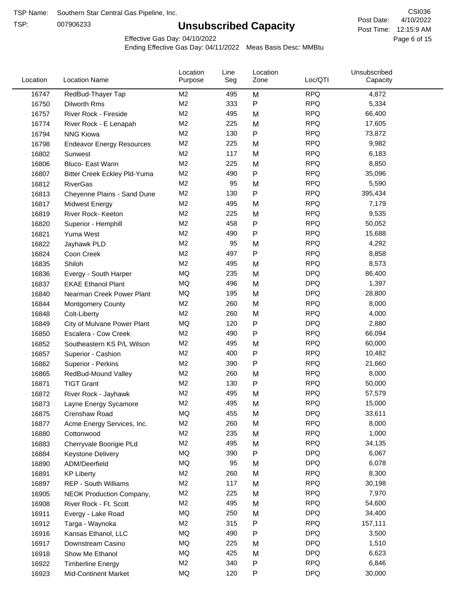TSP:

# **Unsubscribed Capacity**

4/10/2022 Page 6 of 15 Post Time: 12:15:9 AM CSI036 Post Date:

Effective Gas Day: 04/10/2022

| Location | <b>Location Name</b>                | Location<br>Purpose | Line<br>Seg | Location<br>Zone | Loc/QTI    | Unsubscribed<br>Capacity |  |
|----------|-------------------------------------|---------------------|-------------|------------------|------------|--------------------------|--|
| 16747    | RedBud-Thayer Tap                   | M <sub>2</sub>      | 495         | M                | <b>RPQ</b> | 4,872                    |  |
| 16750    | Dilworth Rms                        | M2                  | 333         | P                | <b>RPQ</b> | 5,334                    |  |
| 16757    | River Rock - Fireside               | M <sub>2</sub>      | 495         | M                | <b>RPQ</b> | 66,400                   |  |
| 16774    | River Rock - E Lenapah              | M <sub>2</sub>      | 225         | M                | <b>RPQ</b> | 17,605                   |  |
| 16794    | <b>NNG Kiowa</b>                    | M <sub>2</sub>      | 130         | P                | <b>RPQ</b> | 73,872                   |  |
| 16798    | <b>Endeavor Energy Resources</b>    | M <sub>2</sub>      | 225         | M                | <b>RPQ</b> | 9,982                    |  |
| 16802    | Sunwest                             | M <sub>2</sub>      | 117         | M                | <b>RPQ</b> | 6,183                    |  |
| 16806    | Bluco- East Wann                    | M2                  | 225         | M                | <b>RPQ</b> | 8,850                    |  |
| 16807    | <b>Bitter Creek Eckley Pld-Yuma</b> | M2                  | 490         | P                | <b>RPQ</b> | 35,096                   |  |
| 16812    | <b>RiverGas</b>                     | M <sub>2</sub>      | 95          | M                | <b>RPQ</b> | 5,590                    |  |
| 16813    | Cheyenne Plains - Sand Dune         | M <sub>2</sub>      | 130         | P                | <b>RPQ</b> | 395,434                  |  |
| 16817    | <b>Midwest Energy</b>               | M <sub>2</sub>      | 495         | M                | <b>RPQ</b> | 7,179                    |  |
| 16819    | River Rock- Keeton                  | M <sub>2</sub>      | 225         | M                | <b>RPQ</b> | 9,535                    |  |
| 16820    | Superior - Hemphill                 | M <sub>2</sub>      | 458         | Ρ                | <b>RPQ</b> | 50,052                   |  |
| 16821    | Yuma West                           | M <sub>2</sub>      | 490         | P                | <b>RPQ</b> | 15,688                   |  |
| 16822    | Jayhawk PLD                         | M <sub>2</sub>      | 95          | M                | <b>RPQ</b> | 4,292                    |  |
| 16824    | Coon Creek                          | M <sub>2</sub>      | 497         | P                | <b>RPQ</b> | 8,858                    |  |
| 16835    | Shiloh                              | M2                  | 495         | M                | <b>RPQ</b> | 8,573                    |  |
| 16836    | Evergy - South Harper               | MQ                  | 235         | M                | <b>DPQ</b> | 86,400                   |  |
| 16837    | <b>EKAE Ethanol Plant</b>           | MQ                  | 496         | M                | <b>DPQ</b> | 1,397                    |  |
| 16840    | Nearman Creek Power Plant           | MQ                  | 195         | M                | <b>DPQ</b> | 28,800                   |  |
| 16844    | <b>Montgomery County</b>            | M <sub>2</sub>      | 260         | M                | <b>RPQ</b> | 8,000                    |  |
| 16848    | Colt-Liberty                        | M2                  | 260         | M                | <b>RPQ</b> | 4,000                    |  |
| 16849    | City of Mulvane Power Plant         | <b>MQ</b>           | 120         | P                | <b>DPQ</b> | 2,880                    |  |
| 16850    | Escalera - Cow Creek                | M <sub>2</sub>      | 490         | P                | <b>RPQ</b> | 66,094                   |  |
| 16852    | Southeastern KS P/L Wilson          | M <sub>2</sub>      | 495         | M                | <b>RPQ</b> | 60,000                   |  |
| 16857    | Superior - Cashion                  | M <sub>2</sub>      | 400         | P                | <b>RPQ</b> | 10,482                   |  |
| 16862    | Superior - Perkins                  | M2                  | 390         | P                | <b>RPQ</b> | 21,660                   |  |
| 16865    | RedBud-Mound Valley                 | M <sub>2</sub>      | 260         | M                | <b>RPQ</b> | 8,000                    |  |
| 16871    | <b>TIGT Grant</b>                   | M <sub>2</sub>      | 130         | Ρ                | <b>RPQ</b> | 50,000                   |  |
| 16872    | River Rock - Jayhawk                | M <sub>2</sub>      | 495         | M                | <b>RPQ</b> | 57,579                   |  |
| 16873    | Layne Energy Sycamore               | M <sub>2</sub>      | 495         | M                | <b>RPQ</b> | 15,000                   |  |
| 16875    | Crenshaw Road                       | MQ                  | 455         | M                | <b>DPQ</b> | 33,611                   |  |
| 16877    | Acme Energy Services, Inc.          | M <sub>2</sub>      | 260         | M                | <b>RPQ</b> | 8,000                    |  |
| 16880    | Cottonwood                          | M <sub>2</sub>      | 235         | M                | <b>RPQ</b> | 1,000                    |  |
| 16883    | Cherryvale Boorigie PLd             | M <sub>2</sub>      | 495         | M                | <b>RPQ</b> | 34,135                   |  |
| 16884    | <b>Keystone Delivery</b>            | MQ                  | 390         | P                | <b>DPQ</b> | 6,067                    |  |
| 16890    | ADM/Deerfield                       | MQ                  | 95          | M                | <b>DPQ</b> | 6,078                    |  |
| 16891    | <b>KP Liberty</b>                   | M <sub>2</sub>      | 260         | M                | <b>RPQ</b> | 8,300                    |  |
| 16897    | <b>REP - South Williams</b>         | M <sub>2</sub>      | 117         | M                | <b>RPQ</b> | 30,198                   |  |
| 16905    | NEOK Production Company,            | M2                  | 225         | M                | <b>RPQ</b> | 7,970                    |  |
| 16908    | River Rock - Ft. Scott              | M <sub>2</sub>      | 495         | M                | <b>RPQ</b> | 54,600                   |  |
| 16911    | Evergy - Lake Road                  | MQ                  | 250         | M                | <b>DPQ</b> | 34,400                   |  |
| 16912    | Targa - Waynoka                     | M <sub>2</sub>      | 315         | P                | <b>RPQ</b> | 157,111                  |  |
| 16916    | Kansas Ethanol, LLC                 | MQ                  | 490         | Ρ                | <b>DPQ</b> | 3,500                    |  |
| 16917    | Downstream Casino                   | MQ                  | 225         | M                | <b>DPQ</b> | 1,510                    |  |
| 16918    | Show Me Ethanol                     | MQ                  | 425         | M                | <b>DPQ</b> | 6,623                    |  |
| 16922    | <b>Timberline Energy</b>            | M <sub>2</sub>      | 340         | P                | <b>RPQ</b> | 6,846                    |  |
| 16923    | <b>Mid-Continent Market</b>         | MQ                  | 120         | P                | <b>DPQ</b> | 30,000                   |  |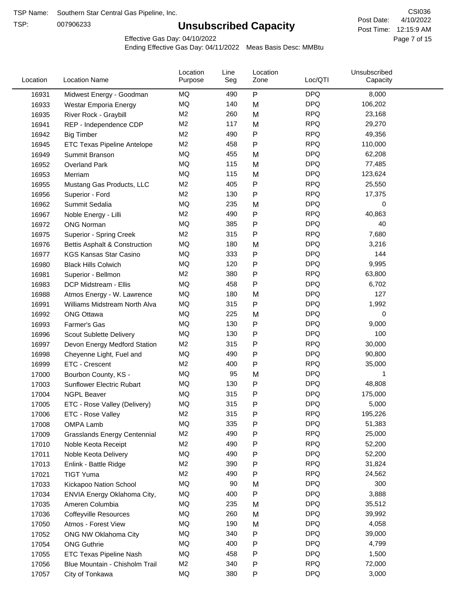TSP:

# **Unsubscribed Capacity**

4/10/2022 Page 7 of 15 Post Time: 12:15:9 AM CSI036 Post Date:

Effective Gas Day: 04/10/2022

| Location | <b>Location Name</b>                | Location<br>Purpose | Line<br>Seg | Location<br>Zone | Loc/QTI    | Unsubscribed<br>Capacity |  |
|----------|-------------------------------------|---------------------|-------------|------------------|------------|--------------------------|--|
| 16931    | Midwest Energy - Goodman            | ΜQ                  | 490         | P                | <b>DPQ</b> | 8,000                    |  |
| 16933    | Westar Emporia Energy               | <b>MQ</b>           | 140         | M                | <b>DPQ</b> | 106,202                  |  |
| 16935    | River Rock - Graybill               | M <sub>2</sub>      | 260         | M                | <b>RPQ</b> | 23,168                   |  |
| 16941    | REP - Independence CDP              | M <sub>2</sub>      | 117         | M                | <b>RPQ</b> | 29,270                   |  |
| 16942    | <b>Big Timber</b>                   | M <sub>2</sub>      | 490         | Ρ                | <b>RPQ</b> | 49,356                   |  |
| 16945    | ETC Texas Pipeline Antelope         | M <sub>2</sub>      | 458         | P                | <b>RPQ</b> | 110,000                  |  |
| 16949    | Summit Branson                      | MQ                  | 455         | M                | <b>DPQ</b> | 62,208                   |  |
| 16952    | <b>Overland Park</b>                | MQ                  | 115         | M                | <b>DPQ</b> | 77,485                   |  |
| 16953    | Merriam                             | MQ                  | 115         | M                | <b>DPQ</b> | 123,624                  |  |
| 16955    | Mustang Gas Products, LLC           | M <sub>2</sub>      | 405         | Ρ                | <b>RPQ</b> | 25,550                   |  |
| 16956    | Superior - Ford                     | M <sub>2</sub>      | 130         | Ρ                | <b>RPQ</b> | 17,375                   |  |
| 16962    | Summit Sedalia                      | <b>MQ</b>           | 235         | M                | <b>DPQ</b> | 0                        |  |
| 16967    | Noble Energy - Lilli                | M <sub>2</sub>      | 490         | Ρ                | <b>RPQ</b> | 40,863                   |  |
| 16972    | <b>ONG Norman</b>                   | MQ                  | 385         | Ρ                | <b>DPQ</b> | 40                       |  |
| 16975    | Superior - Spring Creek             | M <sub>2</sub>      | 315         | P                | <b>RPQ</b> | 7,680                    |  |
| 16976    | Bettis Asphalt & Construction       | MQ                  | 180         | M                | <b>DPQ</b> | 3,216                    |  |
| 16977    | <b>KGS Kansas Star Casino</b>       | MQ                  | 333         | Ρ                | <b>DPQ</b> | 144                      |  |
| 16980    | <b>Black Hills Colwich</b>          | MQ                  | 120         | Ρ                | <b>DPQ</b> | 9,995                    |  |
| 16981    | Superior - Bellmon                  | M <sub>2</sub>      | 380         | Ρ                | <b>RPQ</b> | 63,800                   |  |
| 16983    | DCP Midstream - Ellis               | MQ                  | 458         | Ρ                | <b>DPQ</b> | 6,702                    |  |
| 16988    | Atmos Energy - W. Lawrence          | MQ                  | 180         | M                | <b>DPQ</b> | 127                      |  |
| 16991    | Williams Midstream North Alva       | MQ                  | 315         | Ρ                | <b>DPQ</b> | 1,992                    |  |
| 16992    | <b>ONG Ottawa</b>                   | MQ                  | 225         | M                | <b>DPQ</b> | 0                        |  |
| 16993    | Farmer's Gas                        | MQ                  | 130         | Ρ                | <b>DPQ</b> | 9,000                    |  |
| 16996    | Scout Sublette Delivery             | MQ                  | 130         | P                | <b>DPQ</b> | 100                      |  |
| 16997    | Devon Energy Medford Station        | M <sub>2</sub>      | 315         | Ρ                | <b>RPQ</b> | 30,000                   |  |
| 16998    | Cheyenne Light, Fuel and            | MQ                  | 490         | Ρ                | <b>DPQ</b> | 90,800                   |  |
| 16999    | ETC - Crescent                      | M <sub>2</sub>      | 400         | Ρ                | <b>RPQ</b> | 35,000                   |  |
| 17000    | Bourbon County, KS -                | MQ                  | 95          | M                | <b>DPQ</b> | 1                        |  |
| 17003    | Sunflower Electric Rubart           | MQ                  | 130         | Ρ                | <b>DPQ</b> | 48,808                   |  |
| 17004    | <b>NGPL Beaver</b>                  | MQ                  | 315         | Ρ                | <b>DPQ</b> | 175,000                  |  |
| 17005    | ETC - Rose Valley (Delivery)        | MQ                  | 315         | P                | <b>DPQ</b> | 5,000                    |  |
| 17006    | ETC - Rose Valley                   | M <sub>2</sub>      | 315         | Ρ                | <b>RPQ</b> | 195,226                  |  |
| 17008    | OMPA Lamb                           | MQ                  | 335         | Ρ                | <b>DPQ</b> | 51,383                   |  |
| 17009    | <b>Grasslands Energy Centennial</b> | M <sub>2</sub>      | 490         | Ρ                | <b>RPQ</b> | 25,000                   |  |
| 17010    | Noble Keota Receipt                 | M <sub>2</sub>      | 490         | Ρ                | <b>RPQ</b> | 52,200                   |  |
| 17011    | Noble Keota Delivery                | MQ                  | 490         | Ρ                | <b>DPQ</b> | 52,200                   |  |
| 17013    | Enlink - Battle Ridge               | M <sub>2</sub>      | 390         | Ρ                | <b>RPQ</b> | 31,824                   |  |
| 17021    | <b>TIGT Yuma</b>                    | M <sub>2</sub>      | 490         | Ρ                | <b>RPQ</b> | 24,562                   |  |
| 17033    | Kickapoo Nation School              | MQ                  | 90          | M                | <b>DPQ</b> | 300                      |  |
| 17034    | ENVIA Energy Oklahoma City,         | MQ                  | 400         | Ρ                | <b>DPQ</b> | 3,888                    |  |
| 17035    | Ameren Columbia                     | MQ                  | 235         | M                | <b>DPQ</b> | 35,512                   |  |
| 17036    | <b>Coffeyville Resources</b>        | MQ                  | 260         | M                | <b>DPQ</b> | 39,992                   |  |
| 17050    | Atmos - Forest View                 | MQ                  | 190         | M                | <b>DPQ</b> | 4,058                    |  |
| 17052    |                                     | MQ                  | 340         | Ρ                | <b>DPQ</b> | 39,000                   |  |
|          | ONG NW Oklahoma City                | MQ                  | 400         | Ρ                | <b>DPQ</b> | 4,799                    |  |
| 17054    | <b>ONG Guthrie</b>                  | MQ                  | 458         |                  | <b>DPQ</b> | 1,500                    |  |
| 17055    | ETC Texas Pipeline Nash             | M <sub>2</sub>      |             | Ρ                | <b>RPQ</b> |                          |  |
| 17056    | Blue Mountain - Chisholm Trail      |                     | 340         | Ρ                | <b>DPQ</b> | 72,000                   |  |
| 17057    | City of Tonkawa                     | MQ                  | 380         | Ρ                |            | 3,000                    |  |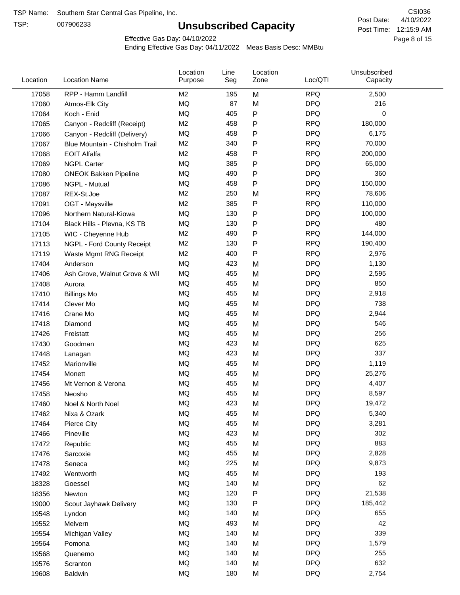TSP:

# **Unsubscribed Capacity**

4/10/2022 Page 8 of 15 Post Time: 12:15:9 AM CSI036 Post Date:

Effective Gas Day: 04/10/2022

| Location | <b>Location Name</b>           | Location<br>Purpose | Line<br>Seg | Location<br>Zone | Loc/QTI    | Unsubscribed<br>Capacity |  |
|----------|--------------------------------|---------------------|-------------|------------------|------------|--------------------------|--|
| 17058    | RPP - Hamm Landfill            | M2                  | 195         | M                | <b>RPQ</b> | 2,500                    |  |
| 17060    | Atmos-Elk City                 | MQ                  | 87          | M                | <b>DPQ</b> | 216                      |  |
| 17064    | Koch - Enid                    | MQ                  | 405         | P                | <b>DPQ</b> | 0                        |  |
| 17065    | Canyon - Redcliff (Receipt)    | M <sub>2</sub>      | 458         | Ρ                | <b>RPQ</b> | 180,000                  |  |
| 17066    | Canyon - Redcliff (Delivery)   | <b>MQ</b>           | 458         | P                | <b>DPQ</b> | 6,175                    |  |
| 17067    | Blue Mountain - Chisholm Trail | M <sub>2</sub>      | 340         | P                | <b>RPQ</b> | 70,000                   |  |
| 17068    | <b>EOIT Alfalfa</b>            | M <sub>2</sub>      | 458         | P                | <b>RPQ</b> | 200,000                  |  |
| 17069    | <b>NGPL Carter</b>             | <b>MQ</b>           | 385         | Ρ                | <b>DPQ</b> | 65,000                   |  |
| 17080    | <b>ONEOK Bakken Pipeline</b>   | MQ                  | 490         | Ρ                | <b>DPQ</b> | 360                      |  |
| 17086    | NGPL - Mutual                  | <b>MQ</b>           | 458         | Ρ                | <b>DPQ</b> | 150,000                  |  |
| 17087    | REX-St.Joe                     | M <sub>2</sub>      | 250         | M                | <b>RPQ</b> | 78,606                   |  |
| 17091    | OGT - Maysville                | M <sub>2</sub>      | 385         | P                | <b>RPQ</b> | 110,000                  |  |
| 17096    | Northern Natural-Kiowa         | <b>MQ</b>           | 130         | P                | <b>DPQ</b> | 100,000                  |  |
| 17104    | Black Hills - Plevna, KS TB    | <b>MQ</b>           | 130         | P                | <b>DPQ</b> | 480                      |  |
| 17105    | WIC - Cheyenne Hub             | M <sub>2</sub>      | 490         | P                | <b>RPQ</b> | 144,000                  |  |
| 17113    | NGPL - Ford County Receipt     | M <sub>2</sub>      | 130         | P                | <b>RPQ</b> | 190,400                  |  |
| 17119    | Waste Mgmt RNG Receipt         | M <sub>2</sub>      | 400         | P                | <b>RPQ</b> | 2,976                    |  |
| 17404    | Anderson                       | MQ                  | 423         | M                | <b>DPQ</b> | 1,130                    |  |
| 17406    | Ash Grove, Walnut Grove & Wil  | <b>MQ</b>           | 455         | M                | <b>DPQ</b> | 2,595                    |  |
| 17408    | Aurora                         | <b>MQ</b>           | 455         | M                | <b>DPQ</b> | 850                      |  |
| 17410    | <b>Billings Mo</b>             | <b>MQ</b>           | 455         | M                | <b>DPQ</b> | 2,918                    |  |
| 17414    | Clever Mo                      | <b>MQ</b>           | 455         | M                | <b>DPQ</b> | 738                      |  |
| 17416    | Crane Mo                       | <b>MQ</b>           | 455         | M                | <b>DPQ</b> | 2,944                    |  |
| 17418    | Diamond                        | <b>MQ</b>           | 455         | M                | <b>DPQ</b> | 546                      |  |
| 17426    | Freistatt                      | <b>MQ</b>           | 455         | M                | <b>DPQ</b> | 256                      |  |
| 17430    | Goodman                        | <b>MQ</b>           | 423         | M                | <b>DPQ</b> | 625                      |  |
| 17448    | Lanagan                        | MQ                  | 423         | M                | <b>DPQ</b> | 337                      |  |
| 17452    | Marionville                    | <b>MQ</b>           | 455         | M                | <b>DPQ</b> | 1,119                    |  |
| 17454    | Monett                         | <b>MQ</b>           | 455         | M                | <b>DPQ</b> | 25,276                   |  |
| 17456    | Mt Vernon & Verona             | <b>MQ</b>           | 455         | M                | <b>DPQ</b> | 4,407                    |  |
| 17458    | Neosho                         | <b>MQ</b>           | 455         | M                | <b>DPQ</b> | 8,597                    |  |
| 17460    | Noel & North Noel              | MQ                  | 423         | м                | <b>DPQ</b> | 19,472                   |  |
| 17462    | Nixa & Ozark                   | MQ                  | 455         | M                | <b>DPQ</b> | 5,340                    |  |
| 17464    | Pierce City                    | MQ                  | 455         | M                | <b>DPQ</b> | 3,281                    |  |
| 17466    | Pineville                      | <b>MQ</b>           | 423         | M                | <b>DPQ</b> | 302                      |  |
| 17472    | Republic                       | <b>MQ</b>           | 455         | M                | <b>DPQ</b> | 883                      |  |
| 17476    | Sarcoxie                       | <b>MQ</b>           | 455         | M                | <b>DPQ</b> | 2,828                    |  |
| 17478    | Seneca                         | MQ                  | 225         | M                | <b>DPQ</b> | 9,873                    |  |
| 17492    | Wentworth                      | <b>MQ</b>           | 455         | M                | <b>DPQ</b> | 193                      |  |
| 18328    | Goessel                        | <b>MQ</b>           | 140         | M                | <b>DPQ</b> | 62                       |  |
| 18356    | Newton                         | MQ                  | 120         | Ρ                | <b>DPQ</b> | 21,538                   |  |
| 19000    | Scout Jayhawk Delivery         | MQ                  | 130         | Ρ                | <b>DPQ</b> | 185,442                  |  |
| 19548    | Lyndon                         | MQ                  | 140         | M                | <b>DPQ</b> | 655                      |  |
| 19552    | Melvern                        | MQ                  | 493         | M                | <b>DPQ</b> | 42                       |  |
| 19554    | Michigan Valley                | <b>MQ</b>           | 140         | M                | <b>DPQ</b> | 339                      |  |
| 19564    | Pomona                         | <b>MQ</b>           | 140         | M                | <b>DPQ</b> | 1,579                    |  |
| 19568    | Quenemo                        | <b>MQ</b>           | 140         | M                | <b>DPQ</b> | 255                      |  |
| 19576    | Scranton                       | <b>MQ</b>           | 140         | M                | <b>DPQ</b> | 632                      |  |
| 19608    | Baldwin                        | <b>MQ</b>           | 180         | M                | <b>DPQ</b> | 2,754                    |  |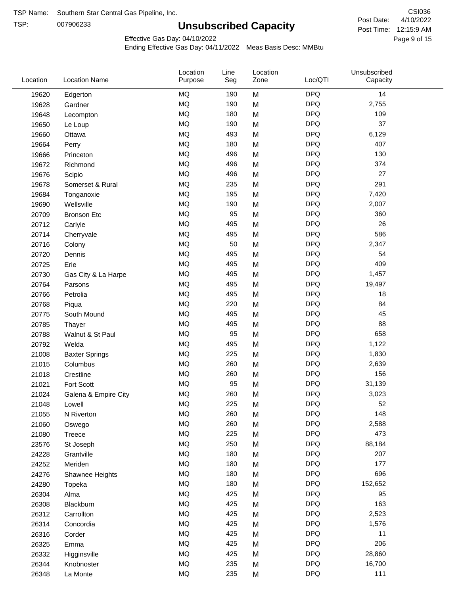TSP:

# **Unsubscribed Capacity**

4/10/2022 Page 9 of 15 Post Time: 12:15:9 AM CSI036 Post Date:

Unsubscribed

Effective Gas Day: 04/10/2022

Location

Ending Effective Gas Day: 04/11/2022 Meas Basis Desc: MMBtu

Line

Location

| Location | <b>Location Name</b>  | Purpose   | Seg | Zone | Loc/QTI    | Capacity |  |
|----------|-----------------------|-----------|-----|------|------------|----------|--|
| 19620    | Edgerton              | MQ        | 190 | M    | <b>DPQ</b> | 14       |  |
| 19628    | Gardner               | <b>MQ</b> | 190 | M    | <b>DPQ</b> | 2,755    |  |
| 19648    | Lecompton             | <b>MQ</b> | 180 | M    | <b>DPQ</b> | 109      |  |
| 19650    | Le Loup               | <b>MQ</b> | 190 | M    | <b>DPQ</b> | 37       |  |
| 19660    | Ottawa                | <b>MQ</b> | 493 | M    | <b>DPQ</b> | 6,129    |  |
| 19664    | Perry                 | <b>MQ</b> | 180 | M    | <b>DPQ</b> | 407      |  |
| 19666    | Princeton             | <b>MQ</b> | 496 | M    | <b>DPQ</b> | 130      |  |
| 19672    | Richmond              | <b>MQ</b> | 496 | M    | <b>DPQ</b> | 374      |  |
| 19676    | Scipio                | <b>MQ</b> | 496 | M    | <b>DPQ</b> | 27       |  |
| 19678    | Somerset & Rural      | <b>MQ</b> | 235 | M    | <b>DPQ</b> | 291      |  |
| 19684    | Tonganoxie            | <b>MQ</b> | 195 | M    | <b>DPQ</b> | 7,420    |  |
| 19690    | Wellsville            | <b>MQ</b> | 190 | M    | <b>DPQ</b> | 2,007    |  |
| 20709    | <b>Bronson Etc</b>    | <b>MQ</b> | 95  | M    | <b>DPQ</b> | 360      |  |
| 20712    | Carlyle               | <b>MQ</b> | 495 | M    | <b>DPQ</b> | 26       |  |
| 20714    | Cherryvale            | MQ        | 495 | M    | <b>DPQ</b> | 586      |  |
| 20716    | Colony                | <b>MQ</b> | 50  | M    | <b>DPQ</b> | 2,347    |  |
| 20720    | Dennis                | <b>MQ</b> | 495 | M    | <b>DPQ</b> | 54       |  |
| 20725    | Erie                  | MQ        | 495 | M    | <b>DPQ</b> | 409      |  |
| 20730    | Gas City & La Harpe   | MQ        | 495 | M    | <b>DPQ</b> | 1,457    |  |
| 20764    | Parsons               | <b>MQ</b> | 495 | M    | <b>DPQ</b> | 19,497   |  |
| 20766    | Petrolia              | <b>MQ</b> | 495 | M    | <b>DPQ</b> | 18       |  |
| 20768    | Piqua                 | <b>MQ</b> | 220 | M    | <b>DPQ</b> | 84       |  |
| 20775    | South Mound           | <b>MQ</b> | 495 | M    | <b>DPQ</b> | 45       |  |
| 20785    | Thayer                | MQ        | 495 | M    | <b>DPQ</b> | 88       |  |
| 20788    | Walnut & St Paul      | <b>MQ</b> | 95  | M    | <b>DPQ</b> | 658      |  |
| 20792    | Welda                 | <b>MQ</b> | 495 | M    | <b>DPQ</b> | 1,122    |  |
| 21008    | <b>Baxter Springs</b> | MQ        | 225 | M    | <b>DPQ</b> | 1,830    |  |
| 21015    | Columbus              | <b>MQ</b> | 260 | M    | <b>DPQ</b> | 2,639    |  |
| 21018    | Crestline             | <b>MQ</b> | 260 | M    | <b>DPQ</b> | 156      |  |
| 21021    | Fort Scott            | MQ        | 95  | M    | <b>DPQ</b> | 31,139   |  |
| 21024    | Galena & Empire City  | <b>MQ</b> | 260 | M    | <b>DPQ</b> | 3,023    |  |
| 21048    | Lowell                | <b>MQ</b> | 225 | M    | <b>DPQ</b> | 52       |  |
| 21055    | N Riverton            | MQ        | 260 | M    | <b>DPQ</b> | 148      |  |
| 21060    | Oswego                | MQ        | 260 | M    | <b>DPQ</b> | 2,588    |  |
| 21080    | Treece                | MQ        | 225 | M    | <b>DPQ</b> | 473      |  |
| 23576    | St Joseph             | <b>MQ</b> | 250 | M    | <b>DPQ</b> | 88,184   |  |
| 24228    | Grantville            | MQ        | 180 | M    | <b>DPQ</b> | 207      |  |
| 24252    | Meriden               | MQ        | 180 | M    | <b>DPQ</b> | 177      |  |
| 24276    | Shawnee Heights       | $\sf{MQ}$ | 180 | M    | <b>DPQ</b> | 696      |  |
| 24280    | Topeka                | MQ        | 180 | M    | <b>DPQ</b> | 152,652  |  |
| 26304    | Alma                  | MQ        | 425 | M    | <b>DPQ</b> | 95       |  |
| 26308    | Blackburn             | MQ        | 425 | M    | <b>DPQ</b> | 163      |  |
| 26312    | Carrollton            | MQ        | 425 | M    | <b>DPQ</b> | 2,523    |  |
| 26314    | Concordia             | <b>MQ</b> | 425 | M    | <b>DPQ</b> | 1,576    |  |
| 26316    | Corder                | MQ        | 425 | M    | <b>DPQ</b> | 11       |  |
| 26325    | Emma                  | MQ        | 425 | M    | <b>DPQ</b> | 206      |  |
| 26332    | Higginsville          | MQ        | 425 | M    | <b>DPQ</b> | 28,860   |  |
| 26344    | Knobnoster            | $\sf{MQ}$ | 235 | M    | <b>DPQ</b> | 16,700   |  |
| 26348    | La Monte              | $\sf{MQ}$ | 235 | M    | <b>DPQ</b> | 111      |  |
|          |                       |           |     |      |            |          |  |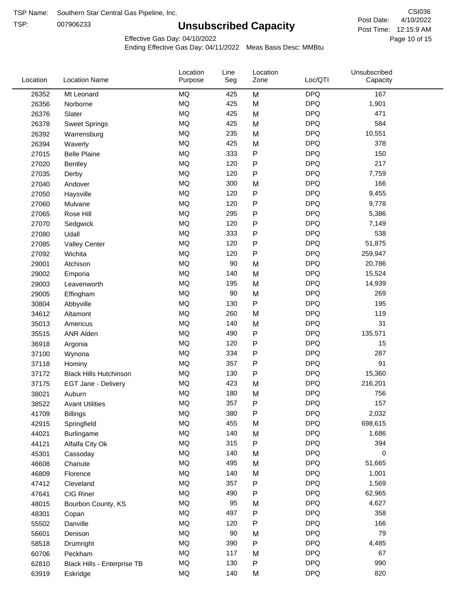TSP:

# **Unsubscribed Capacity**

4/10/2022 Page 10 of 15 Post Time: 12:15:9 AM CSI036 Post Date:

Unsubscribed

Effective Gas Day: 04/10/2022

Location

Ending Effective Gas Day: 04/11/2022 Meas Basis Desc: MMBtu

Line

Location

| Location | <b>Location Name</b>          | Purpose   | Seg    | Zone         | Loc/QTI    | Capacity |  |
|----------|-------------------------------|-----------|--------|--------------|------------|----------|--|
| 26352    | Mt Leonard                    | MQ        | 425    | M            | <b>DPQ</b> | 167      |  |
| 26356    | Norborne                      | MQ        | 425    | M            | <b>DPQ</b> | 1,901    |  |
| 26376    | Slater                        | MQ        | 425    | M            | <b>DPQ</b> | 471      |  |
| 26378    | <b>Sweet Springs</b>          | MQ        | 425    | M            | <b>DPQ</b> | 584      |  |
| 26392    | Warrensburg                   | MQ        | 235    | M            | <b>DPQ</b> | 10,551   |  |
| 26394    | Waverly                       | MQ        | 425    | M            | <b>DPQ</b> | 378      |  |
| 27015    | <b>Belle Plaine</b>           | MQ        | 333    | ${\sf P}$    | <b>DPQ</b> | 150      |  |
| 27020    | <b>Bentley</b>                | MQ        | 120    | $\mathsf{P}$ | <b>DPQ</b> | 217      |  |
| 27035    | Derby                         | MQ        | 120    | $\mathsf{P}$ | <b>DPQ</b> | 7,759    |  |
| 27040    | Andover                       | MQ        | 300    | M            | <b>DPQ</b> | 166      |  |
| 27050    | Haysville                     | MQ        | 120    | ${\sf P}$    | <b>DPQ</b> | 9,455    |  |
| 27060    | Mulvane                       | MQ        | 120    | $\sf P$      | <b>DPQ</b> | 9,778    |  |
| 27065    | Rose Hill                     | MQ        | 295    | $\mathsf{P}$ | <b>DPQ</b> | 5,386    |  |
| 27070    | Sedgwick                      | MQ        | 120    | P            | <b>DPQ</b> | 7,149    |  |
| 27080    | Udall                         | <b>MQ</b> | 333    | $\mathsf{P}$ | <b>DPQ</b> | 538      |  |
| 27085    | <b>Valley Center</b>          | MQ        | 120    | $\mathsf{P}$ | <b>DPQ</b> | 51,875   |  |
| 27092    | Wichita                       | MQ        | 120    | $\mathsf{P}$ | <b>DPQ</b> | 259,947  |  |
| 29001    | Atchison                      | MQ        | 90     | M            | <b>DPQ</b> | 20,786   |  |
| 29002    | Emporia                       | MQ        | 140    | M            | <b>DPQ</b> | 15,524   |  |
| 29003    | Leavenworth                   | MQ        | 195    | M            | <b>DPQ</b> | 14,939   |  |
| 29005    | Effingham                     | MQ        | 90     | M            | <b>DPQ</b> | 269      |  |
| 30804    | Abbyville                     | MQ        | 130    | ${\sf P}$    | <b>DPQ</b> | 195      |  |
| 34612    | Altamont                      | MQ        | 260    | M            | <b>DPQ</b> | 119      |  |
| 35013    | Americus                      | MQ        | 140    | M            | <b>DPQ</b> | 31       |  |
| 35515    | ANR Alden                     | MQ        | 490    | ${\sf P}$    | <b>DPQ</b> | 135,571  |  |
| 36918    | Argonia                       | MQ        | 120    | $\mathsf{P}$ | <b>DPQ</b> | 15       |  |
| 37100    | Wynona                        | MQ        | 334    | ${\sf P}$    | <b>DPQ</b> | 287      |  |
| 37118    | Hominy                        | MQ        | 357    | ${\sf P}$    | <b>DPQ</b> | 91       |  |
| 37172    | <b>Black Hills Hutchinson</b> | MQ        | 130    | ${\sf P}$    | <b>DPQ</b> | 15,360   |  |
| 37175    | EGT Jane - Delivery           | MQ        | 423    | M            | <b>DPQ</b> | 216,201  |  |
| 38021    | Auburn                        | MQ        | 180    | M            | <b>DPQ</b> | 756      |  |
| 38522    | <b>Avant Utilities</b>        | MQ        | 357    | P            | <b>DPQ</b> | 157      |  |
| 41709    | <b>Billings</b>               | MQ        | 380    | P            | <b>DPQ</b> | 2,032    |  |
| 42915    | Springfield                   | MQ        | 455    | M            | <b>DPQ</b> | 698,615  |  |
| 44021    | Burlingame                    | MQ        | 140    | M            | <b>DPQ</b> | 1,686    |  |
| 44121    | Alfalfa City Ok               | MQ        | 315    | ${\sf P}$    | <b>DPQ</b> | 394      |  |
| 45301    | Cassoday                      | MQ        | 140    | M            | <b>DPQ</b> | 0        |  |
| 46608    | Chanute                       | MQ        | 495    | M            | <b>DPQ</b> | 51,665   |  |
| 46809    | Florence                      | MQ        | 140    | M            | <b>DPQ</b> | 1,001    |  |
| 47412    | Cleveland                     | MQ        | 357    | $\mathsf{P}$ | <b>DPQ</b> | 1,569    |  |
| 47641    | CIG Riner                     | MQ        | 490    | ${\sf P}$    | <b>DPQ</b> | 62,965   |  |
| 48015    | Bourbon County, KS            | MQ        | 95     | M            | <b>DPQ</b> | 4,627    |  |
| 48301    | Copan                         | MQ        | 497    | ${\sf P}$    | <b>DPQ</b> | 358      |  |
| 55502    | Danville                      | MQ        | 120    | ${\sf P}$    | <b>DPQ</b> | 166      |  |
| 56601    | Denison                       | MQ        | $90\,$ | M            | <b>DPQ</b> | 79       |  |
| 58518    | Drumright                     | MQ        | 390    | $\mathsf{P}$ | <b>DPQ</b> | 4,485    |  |
| 60706    | Peckham                       | MQ        | 117    | M            | <b>DPQ</b> | 67       |  |
| 62810    | Black Hills - Enterprise TB   | MQ        | 130    | ${\sf P}$    | <b>DPQ</b> | 990      |  |
| 63919    | Eskridge                      | MQ        | 140    | M            | <b>DPQ</b> | 820      |  |
|          |                               |           |        |              |            |          |  |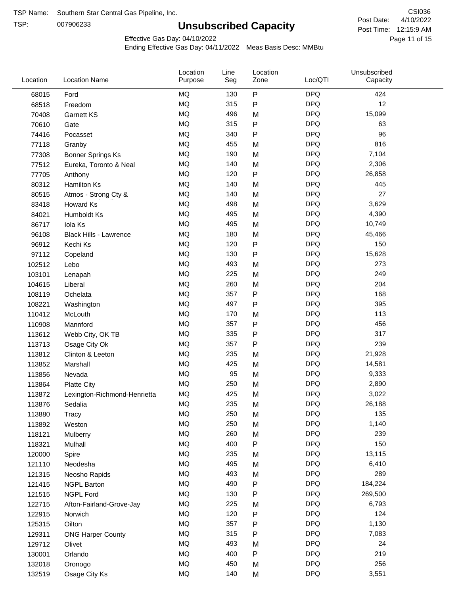TSP:

# **Unsubscribed Capacity**

4/10/2022 Page 11 of 15 Post Time: 12:15:9 AM CSI036 Post Date:

Effective Gas Day: 04/10/2022

| Location | <b>Location Name</b>          | Location<br>Purpose | Line<br>Seg | Location<br>Zone | Loc/QTI    | Unsubscribed<br>Capacity |  |
|----------|-------------------------------|---------------------|-------------|------------------|------------|--------------------------|--|
| 68015    | Ford                          | <b>MQ</b>           | 130         | $\sf P$          | <b>DPQ</b> | 424                      |  |
| 68518    | Freedom                       | MQ                  | 315         | ${\sf P}$        | <b>DPQ</b> | 12                       |  |
| 70408    | Garnett KS                    | MQ                  | 496         | M                | <b>DPQ</b> | 15,099                   |  |
| 70610    | Gate                          | <b>MQ</b>           | 315         | ${\sf P}$        | <b>DPQ</b> | 63                       |  |
| 74416    | Pocasset                      | <b>MQ</b>           | 340         | $\mathsf{P}$     | <b>DPQ</b> | 96                       |  |
| 77118    | Granby                        | <b>MQ</b>           | 455         | M                | <b>DPQ</b> | 816                      |  |
| 77308    | Bonner Springs Ks             | MQ                  | 190         | M                | <b>DPQ</b> | 7,104                    |  |
| 77512    | Eureka, Toronto & Neal        | MQ                  | 140         | M                | <b>DPQ</b> | 2,306                    |  |
| 77705    | Anthony                       | <b>MQ</b>           | 120         | ${\sf P}$        | <b>DPQ</b> | 26,858                   |  |
| 80312    | <b>Hamilton Ks</b>            | <b>MQ</b>           | 140         | M                | <b>DPQ</b> | 445                      |  |
| 80515    | Atmos - Strong Cty &          | MQ                  | 140         | M                | <b>DPQ</b> | 27                       |  |
| 83418    | Howard Ks                     | MQ                  | 498         | M                | <b>DPQ</b> | 3,629                    |  |
| 84021    | Humboldt Ks                   | MQ                  | 495         | M                | <b>DPQ</b> | 4,390                    |  |
| 86717    | Iola Ks                       | <b>MQ</b>           | 495         | M                | <b>DPQ</b> | 10,749                   |  |
| 96108    | <b>Black Hills - Lawrence</b> | <b>MQ</b>           | 180         | M                | <b>DPQ</b> | 45,466                   |  |
| 96912    | Kechi Ks                      | MQ                  | 120         | ${\sf P}$        | <b>DPQ</b> | 150                      |  |
| 97112    | Copeland                      | <b>MQ</b>           | 130         | $\mathsf{P}$     | <b>DPQ</b> | 15,628                   |  |
| 102512   | Lebo                          | <b>MQ</b>           | 493         | M                | <b>DPQ</b> | 273                      |  |
| 103101   | Lenapah                       | <b>MQ</b>           | 225         | M                | <b>DPQ</b> | 249                      |  |
| 104615   | Liberal                       | <b>MQ</b>           | 260         | M                | <b>DPQ</b> | 204                      |  |
| 108119   | Ochelata                      | MQ                  | 357         | ${\sf P}$        | <b>DPQ</b> | 168                      |  |
| 108221   | Washington                    | <b>MQ</b>           | 497         | $\mathsf{P}$     | <b>DPQ</b> | 395                      |  |
| 110412   | McLouth                       | <b>MQ</b>           | 170         | M                | <b>DPQ</b> | 113                      |  |
| 110908   | Mannford                      | <b>MQ</b>           | 357         | P                | <b>DPQ</b> | 456                      |  |
| 113612   | Webb City, OK TB              | MQ                  | 335         | Ρ                | <b>DPQ</b> | 317                      |  |
| 113713   | Osage City Ok                 | MQ                  | 357         | $\mathsf{P}$     | <b>DPQ</b> | 239                      |  |
| 113812   | Clinton & Leeton              | <b>MQ</b>           | 235         | M                | <b>DPQ</b> | 21,928                   |  |
| 113852   | Marshall                      | <b>MQ</b>           | 425         | M                | <b>DPQ</b> | 14,581                   |  |
| 113856   | Nevada                        | MQ                  | 95          | M                | <b>DPQ</b> | 9,333                    |  |
| 113864   | <b>Platte City</b>            | MQ                  | 250         | M                | <b>DPQ</b> | 2,890                    |  |
| 113872   | Lexington-Richmond-Henrietta  | MQ                  | 425         | M                | <b>DPQ</b> | 3,022                    |  |
| 113876   | Sedalia                       | MQ                  | 235         | M                | <b>DPQ</b> | 26,188                   |  |
| 113880   | Tracy                         | MQ                  | 250         | M                | <b>DPQ</b> | 135                      |  |
| 113892   | Weston                        | MQ                  | 250         | M                | <b>DPQ</b> | 1,140                    |  |
| 118121   | Mulberry                      | MQ                  | 260         | M                | <b>DPQ</b> | 239                      |  |
| 118321   | Mulhall                       | MQ                  | 400         | ${\sf P}$        | <b>DPQ</b> | 150                      |  |
| 120000   | Spire                         | MQ                  | 235         | M                | <b>DPQ</b> | 13,115                   |  |
| 121110   | Neodesha                      | MQ                  | 495         | M                | <b>DPQ</b> | 6,410                    |  |
| 121315   | Neosho Rapids                 | $\sf{MQ}$           | 493         | M                | <b>DPQ</b> | 289                      |  |
| 121415   | <b>NGPL Barton</b>            | MQ                  | 490         | P                | <b>DPQ</b> | 184,224                  |  |
| 121515   | <b>NGPL Ford</b>              | MQ                  | 130         | P                | <b>DPQ</b> | 269,500                  |  |
| 122715   | Afton-Fairland-Grove-Jay      | MQ                  | 225         | M                | <b>DPQ</b> | 6,793                    |  |
| 122915   | Norwich                       | MQ                  | 120         | P                | <b>DPQ</b> | 124                      |  |
| 125315   | Oilton                        | MQ                  | 357         | P                | <b>DPQ</b> | 1,130                    |  |
| 129311   | <b>ONG Harper County</b>      | MQ                  | 315         | P                | <b>DPQ</b> | 7,083                    |  |
| 129712   | Olivet                        | MQ                  | 493         | M                | <b>DPQ</b> | 24                       |  |
| 130001   | Orlando                       | MQ                  | 400         | ${\sf P}$        | <b>DPQ</b> | 219                      |  |
| 132018   | Oronogo                       | MQ                  | 450         | M                | <b>DPQ</b> | 256                      |  |
| 132519   | Osage City Ks                 | $\sf{MQ}$           | 140         | M                | <b>DPQ</b> | 3,551                    |  |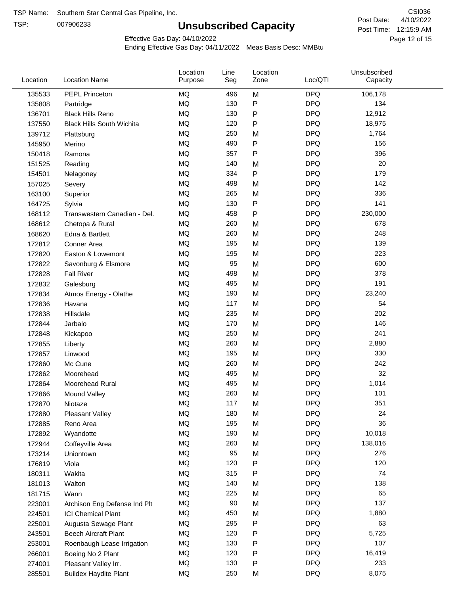TSP:

# **Unsubscribed Capacity**

4/10/2022 Page 12 of 15 Post Time: 12:15:9 AM CSI036 Post Date:

Unsubscribed

Effective Gas Day: 04/10/2022

Location

Ending Effective Gas Day: 04/11/2022 Meas Basis Desc: MMBtu

Line

Location

| Location | <b>Location Name</b>             | Purpose   | Seg | Zone         | Loc/QTI    | Capacity |  |
|----------|----------------------------------|-----------|-----|--------------|------------|----------|--|
| 135533   | PEPL Princeton                   | <b>MQ</b> | 496 | M            | <b>DPQ</b> | 106,178  |  |
| 135808   | Partridge                        | MQ        | 130 | P            | <b>DPQ</b> | 134      |  |
| 136701   | <b>Black Hills Reno</b>          | MQ        | 130 | P            | <b>DPQ</b> | 12,912   |  |
| 137550   | <b>Black Hills South Wichita</b> | MQ        | 120 | P            | <b>DPQ</b> | 18,975   |  |
| 139712   | Plattsburg                       | <b>MQ</b> | 250 | M            | <b>DPQ</b> | 1,764    |  |
| 145950   | Merino                           | <b>MQ</b> | 490 | P            | <b>DPQ</b> | 156      |  |
| 150418   | Ramona                           | <b>MQ</b> | 357 | P            | <b>DPQ</b> | 396      |  |
| 151525   | Reading                          | MQ        | 140 | M            | <b>DPQ</b> | 20       |  |
| 154501   | Nelagoney                        | MQ        | 334 | P            | <b>DPQ</b> | 179      |  |
| 157025   | Severy                           | <b>MQ</b> | 498 | M            | <b>DPQ</b> | 142      |  |
| 163100   | Superior                         | <b>MQ</b> | 265 | M            | <b>DPQ</b> | 336      |  |
| 164725   | Sylvia                           | MQ        | 130 | P            | <b>DPQ</b> | 141      |  |
| 168112   | Transwestern Canadian - Del.     | MQ        | 458 | $\mathsf{P}$ | <b>DPQ</b> | 230,000  |  |
| 168612   | Chetopa & Rural                  | <b>MQ</b> | 260 | M            | <b>DPQ</b> | 678      |  |
| 168620   | Edna & Bartlett                  | MQ        | 260 | M            | <b>DPQ</b> | 248      |  |
| 172812   | Conner Area                      | MQ        | 195 | M            | <b>DPQ</b> | 139      |  |
| 172820   | Easton & Lowemont                | MQ        | 195 | M            | <b>DPQ</b> | 223      |  |
| 172822   | Savonburg & Elsmore              | MQ        | 95  | M            | <b>DPQ</b> | 600      |  |
| 172828   | <b>Fall River</b>                | <b>MQ</b> | 498 | M            | <b>DPQ</b> | 378      |  |
| 172832   | Galesburg                        | <b>MQ</b> | 495 | M            | <b>DPQ</b> | 191      |  |
| 172834   | Atmos Energy - Olathe            | MQ        | 190 | M            | <b>DPQ</b> | 23,240   |  |
| 172836   | Havana                           | <b>MQ</b> | 117 | M            | <b>DPQ</b> | 54       |  |
| 172838   | Hillsdale                        | MQ        | 235 | M            | <b>DPQ</b> | 202      |  |
| 172844   | Jarbalo                          | <b>MQ</b> | 170 | M            | <b>DPQ</b> | 146      |  |
| 172848   | Kickapoo                         | <b>MQ</b> | 250 | M            | <b>DPQ</b> | 241      |  |
| 172855   | Liberty                          | MQ        | 260 | M            | <b>DPQ</b> | 2,880    |  |
| 172857   | Linwood                          | MQ        | 195 | M            | <b>DPQ</b> | 330      |  |
| 172860   | Mc Cune                          | <b>MQ</b> | 260 | M            | <b>DPQ</b> | 242      |  |
| 172862   | Moorehead                        | <b>MQ</b> | 495 | M            | <b>DPQ</b> | 32       |  |
| 172864   | Moorehead Rural                  | MQ        | 495 | M            | <b>DPQ</b> | 1,014    |  |
| 172866   | Mound Valley                     | MQ        | 260 | M            | <b>DPQ</b> | 101      |  |
| 172870   | Niotaze                          | MQ        | 117 | M            | <b>DPQ</b> | 351      |  |
| 172880   | Pleasant Valley                  | MQ        | 180 | M            | <b>DPQ</b> | 24       |  |
| 172885   | Reno Area                        | MQ        | 195 | M            | <b>DPQ</b> | 36       |  |
| 172892   | Wyandotte                        | $\sf{MQ}$ | 190 | M            | <b>DPQ</b> | 10,018   |  |
| 172944   | Coffeyville Area                 | MQ        | 260 | M            | <b>DPQ</b> | 138,016  |  |
| 173214   | Uniontown                        | MQ        | 95  | M            | <b>DPQ</b> | 276      |  |
| 176819   | Viola                            | MQ        | 120 | ${\sf P}$    | <b>DPQ</b> | 120      |  |
| 180311   | Wakita                           | MQ        | 315 | P            | <b>DPQ</b> | 74       |  |
| 181013   | Walton                           | $\sf{MQ}$ | 140 | M            | <b>DPQ</b> | 138      |  |
| 181715   | Wann                             | MQ        | 225 | M            | <b>DPQ</b> | 65       |  |
| 223001   | Atchison Eng Defense Ind Plt     | MQ        | 90  | M            | <b>DPQ</b> | 137      |  |
| 224501   | <b>ICI Chemical Plant</b>        | MQ        | 450 | M            | <b>DPQ</b> | 1,880    |  |
| 225001   | Augusta Sewage Plant             | MQ        | 295 | P            | <b>DPQ</b> | 63       |  |
| 243501   | <b>Beech Aircraft Plant</b>      | MQ        | 120 | P            | <b>DPQ</b> | 5,725    |  |
| 253001   | Roenbaugh Lease Irrigation       | MQ        | 130 | P            | <b>DPQ</b> | 107      |  |
| 266001   | Boeing No 2 Plant                | MQ        | 120 | P            | <b>DPQ</b> | 16,419   |  |
| 274001   | Pleasant Valley Irr.             | MQ        | 130 | P            | <b>DPQ</b> | 233      |  |
| 285501   | <b>Buildex Haydite Plant</b>     | $\sf{MQ}$ | 250 | M            | <b>DPQ</b> | 8,075    |  |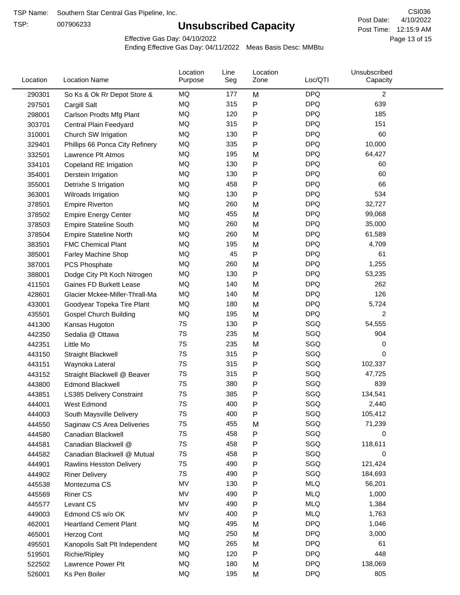TSP:

# **Unsubscribed Capacity**

4/10/2022 Page 13 of 15 Post Time: 12:15:9 AM CSI036 Post Date:

Effective Gas Day: 04/10/2022

| Location | <b>Location Name</b>            | Location<br>Purpose | Line<br>Seg | Location<br>Zone | Loc/QTI    | Unsubscribed<br>Capacity |  |
|----------|---------------------------------|---------------------|-------------|------------------|------------|--------------------------|--|
| 290301   | So Ks & Ok Rr Depot Store &     | MQ                  | 177         | M                | <b>DPQ</b> | $\overline{c}$           |  |
| 297501   | Cargill Salt                    | MQ                  | 315         | P                | <b>DPQ</b> | 639                      |  |
| 298001   | Carlson Prodts Mfg Plant        | MQ                  | 120         | Ρ                | <b>DPQ</b> | 185                      |  |
| 303701   | Central Plain Feedyard          | <b>MQ</b>           | 315         | Ρ                | <b>DPQ</b> | 151                      |  |
| 310001   | Church SW Irrigation            | <b>MQ</b>           | 130         | P                | <b>DPQ</b> | 60                       |  |
| 329401   | Phillips 66 Ponca City Refinery | MQ                  | 335         | Ρ                | <b>DPQ</b> | 10,000                   |  |
| 332501   | Lawrence Plt Atmos              | MQ                  | 195         | M                | <b>DPQ</b> | 64,427                   |  |
| 334101   | Copeland RE Irrigation          | MQ                  | 130         | P                | <b>DPQ</b> | 60                       |  |
| 354001   | Derstein Irrigation             | MQ                  | 130         | P                | <b>DPQ</b> | 60                       |  |
| 355001   | Detrixhe S Irrigation           | MQ                  | 458         | P                | <b>DPQ</b> | 66                       |  |
| 363001   | Wilroads Irrigation             | MQ                  | 130         | P                | <b>DPQ</b> | 534                      |  |
| 378501   | <b>Empire Riverton</b>          | MQ                  | 260         | M                | <b>DPQ</b> | 32,727                   |  |
| 378502   | <b>Empire Energy Center</b>     | MQ                  | 455         | M                | <b>DPQ</b> | 99,068                   |  |
| 378503   | <b>Empire Stateline South</b>   | MQ                  | 260         | M                | <b>DPQ</b> | 35,000                   |  |
| 378504   | <b>Empire Stateline North</b>   | MQ                  | 260         | M                | <b>DPQ</b> | 61,589                   |  |
| 383501   | <b>FMC Chemical Plant</b>       | MQ                  | 195         | M                | <b>DPQ</b> | 4,709                    |  |
| 385001   | Farley Machine Shop             | MQ                  | 45          | P                | <b>DPQ</b> | 61                       |  |
| 387001   | PCS Phosphate                   | <b>MQ</b>           | 260         | M                | <b>DPQ</b> | 1,255                    |  |
| 388001   | Dodge City Plt Koch Nitrogen    | MQ                  | 130         | P                | <b>DPQ</b> | 53,235                   |  |
| 411501   | <b>Gaines FD Burkett Lease</b>  | MQ                  | 140         | M                | <b>DPQ</b> | 262                      |  |
| 428601   | Glacier Mckee-Miller-Thrall-Ma  | MQ                  | 140         | M                | <b>DPQ</b> | 126                      |  |
| 433001   | Goodyear Topeka Tire Plant      | MQ                  | 180         | M                | <b>DPQ</b> | 5,724                    |  |
| 435501   | <b>Gospel Church Building</b>   | MQ                  | 195         | M                | <b>DPQ</b> | $\overline{c}$           |  |
| 441300   | Kansas Hugoton                  | 7S                  | 130         | Ρ                | SGQ        | 54,555                   |  |
| 442350   | Sedalia @ Ottawa                | 7S                  | 235         | M                | SGQ        | 904                      |  |
| 442351   | Little Mo                       | 7S                  | 235         | M                | SGQ        | 0                        |  |
| 443150   | <b>Straight Blackwell</b>       | 7S                  | 315         | Ρ                | SGQ        | 0                        |  |
| 443151   | Waynoka Lateral                 | 7S                  | 315         | Ρ                | SGQ        | 102,337                  |  |
| 443152   | Straight Blackwell @ Beaver     | 7S                  | 315         | P                | SGQ        | 47,725                   |  |
| 443800   | <b>Edmond Blackwell</b>         | 7S                  | 380         | Ρ                | SGQ        | 839                      |  |
| 443851   | LS385 Delivery Constraint       | 7S                  | 385         | Ρ                | SGQ        | 134,541                  |  |
| 444001   | West Edmond                     | 7S                  | 400         | Ρ                | SGQ        | 2,440                    |  |
| 444003   | South Maysville Delivery        | 7S                  | 400         | Ρ                | SGQ        | 105,412                  |  |
| 444550   | Saginaw CS Area Deliveries      | 7S                  | 455         | M                | SGQ        | 71,239                   |  |
| 444580   | Canadian Blackwell              | 7S                  | 458         | Ρ                | SGQ        | 0                        |  |
| 444581   | Canadian Blackwell @            | 7S                  | 458         | Ρ                | SGQ        | 118,611                  |  |
| 444582   | Canadian Blackwell @ Mutual     | 7S                  | 458         | Ρ                | SGQ        | 0                        |  |
| 444901   | Rawlins Hesston Delivery        | 7S                  | 490         | Ρ                | SGQ        | 121,424                  |  |
| 444902   | <b>Riner Delivery</b>           | 7S                  | 490         | Ρ                | SGQ        | 184,693                  |  |
| 445538   | Montezuma CS                    | MV                  | 130         | Ρ                | <b>MLQ</b> | 56,201                   |  |
| 445569   | <b>Riner CS</b>                 | MV                  | 490         | Ρ                | <b>MLQ</b> | 1,000                    |  |
| 445577   | Levant CS                       | MV                  | 490         | Ρ                | <b>MLQ</b> | 1,384                    |  |
| 449003   | Edmond CS w/o OK                | MV                  | 400         | P                | <b>MLQ</b> | 1,763                    |  |
| 462001   | <b>Heartland Cement Plant</b>   | MQ                  | 495         | M                | <b>DPQ</b> | 1,046                    |  |
| 465001   | Herzog Cont                     | MQ                  | 250         | M                | <b>DPQ</b> | 3,000                    |  |
| 495501   | Kanopolis Salt Plt Independent  | MQ                  | 265         | M                | <b>DPQ</b> | 61                       |  |
| 519501   | Richie/Ripley                   | MQ                  | 120         | Ρ                | <b>DPQ</b> | 448                      |  |
| 522502   | Lawrence Power Plt              | MQ                  | 180         | M                | <b>DPQ</b> | 138,069                  |  |
| 526001   | Ks Pen Boiler                   | MQ                  | 195         | M                | <b>DPQ</b> | 805                      |  |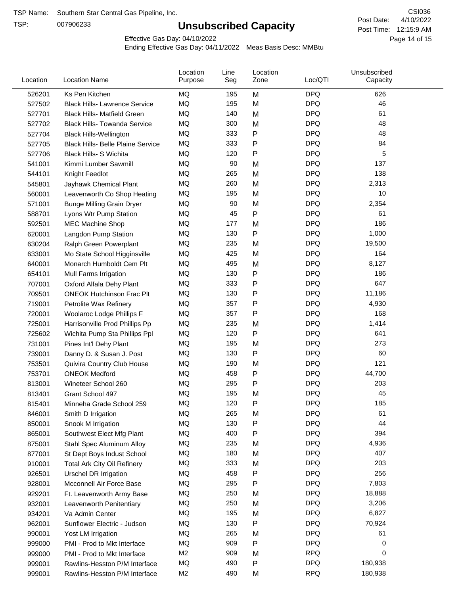TSP:

# **Unsubscribed Capacity**

4/10/2022 Page 14 of 15 Post Time: 12:15:9 AM CSI036 Post Date:

Effective Gas Day: 04/10/2022

| Location | <b>Location Name</b>                     | Location<br>Purpose | Line<br>Seg | Location<br>Zone | Loc/QTI    | Unsubscribed<br>Capacity |  |
|----------|------------------------------------------|---------------------|-------------|------------------|------------|--------------------------|--|
| 526201   | Ks Pen Kitchen                           | MQ                  | 195         | M                | <b>DPQ</b> | 626                      |  |
| 527502   | <b>Black Hills- Lawrence Service</b>     | MQ                  | 195         | M                | <b>DPQ</b> | 46                       |  |
| 527701   | <b>Black Hills- Matfield Green</b>       | <b>MQ</b>           | 140         | M                | <b>DPQ</b> | 61                       |  |
| 527702   | <b>Black Hills- Towanda Service</b>      | <b>MQ</b>           | 300         | M                | <b>DPQ</b> | 48                       |  |
| 527704   | <b>Black Hills-Wellington</b>            | <b>MQ</b>           | 333         | P                | <b>DPQ</b> | 48                       |  |
| 527705   | <b>Black Hills- Belle Plaine Service</b> | MQ                  | 333         | ${\sf P}$        | <b>DPQ</b> | 84                       |  |
| 527706   | <b>Black Hills- S Wichita</b>            | MQ                  | 120         | $\mathsf{P}$     | <b>DPQ</b> | 5                        |  |
| 541001   | Kimmi Lumber Sawmill                     | <b>MQ</b>           | 90          | M                | <b>DPQ</b> | 137                      |  |
| 544101   | Knight Feedlot                           | MQ                  | 265         | M                | <b>DPQ</b> | 138                      |  |
| 545801   | Jayhawk Chemical Plant                   | MQ                  | 260         | M                | <b>DPQ</b> | 2,313                    |  |
| 560001   | Leavenworth Co Shop Heating              | MQ                  | 195         | M                | <b>DPQ</b> | 10                       |  |
| 571001   | <b>Bunge Milling Grain Dryer</b>         | MQ                  | 90          | M                | <b>DPQ</b> | 2,354                    |  |
| 588701   | Lyons Wtr Pump Station                   | MQ                  | 45          | ${\sf P}$        | <b>DPQ</b> | 61                       |  |
| 592501   | <b>MEC Machine Shop</b>                  | MQ                  | 177         | M                | <b>DPQ</b> | 186                      |  |
| 620001   | Langdon Pump Station                     | MQ                  | 130         | $\mathsf{P}$     | <b>DPQ</b> | 1,000                    |  |
| 630204   | Ralph Green Powerplant                   | MQ                  | 235         | M                | <b>DPQ</b> | 19,500                   |  |
| 633001   | Mo State School Higginsville             | MQ                  | 425         | M                | <b>DPQ</b> | 164                      |  |
| 640001   | Monarch Humboldt Cem Plt                 | MQ                  | 495         | M                | <b>DPQ</b> | 8,127                    |  |
| 654101   | Mull Farms Irrigation                    | MQ                  | 130         | P                | <b>DPQ</b> | 186                      |  |
| 707001   | Oxford Alfala Dehy Plant                 | MQ                  | 333         | ${\sf P}$        | <b>DPQ</b> | 647                      |  |
| 709501   | <b>ONEOK Hutchinson Frac Plt</b>         | MQ                  | 130         | P                | <b>DPQ</b> | 11,186                   |  |
| 719001   | Petrolite Wax Refinery                   | <b>MQ</b>           | 357         | P                | <b>DPQ</b> | 4,930                    |  |
| 720001   | Woolaroc Lodge Phillips F                | MQ                  | 357         | $\mathsf{P}$     | <b>DPQ</b> | 168                      |  |
| 725001   | Harrisonville Prod Phillips Pp           | MQ                  | 235         | M                | <b>DPQ</b> | 1,414                    |  |
| 725602   | Wichita Pump Sta Phillips Ppl            | MQ                  | 120         | ${\sf P}$        | <b>DPQ</b> | 641                      |  |
| 731001   | Pines Int'l Dehy Plant                   | MQ                  | 195         | M                | <b>DPQ</b> | 273                      |  |
| 739001   | Danny D. & Susan J. Post                 | MQ                  | 130         | ${\sf P}$        | <b>DPQ</b> | 60                       |  |
| 753501   | Quivira Country Club House               | MQ                  | 190         | M                | <b>DPQ</b> | 121                      |  |
| 753701   | <b>ONEOK Medford</b>                     | MQ                  | 458         | ${\sf P}$        | <b>DPQ</b> | 44,700                   |  |
| 813001   | Wineteer School 260                      | MQ                  | 295         | $\mathsf{P}$     | <b>DPQ</b> | 203                      |  |
| 813401   | Grant School 497                         | MQ                  | 195         | M                | <b>DPQ</b> | 45                       |  |
| 815401   | Minneha Grade School 259                 | MQ                  | 120         | Ρ                | <b>DPQ</b> | 185                      |  |
| 846001   | Smith D Irrigation                       | MQ                  | 265         | M                | <b>DPQ</b> | 61                       |  |
| 850001   | Snook M Irrigation                       | MQ                  | 130         | ${\sf P}$        | <b>DPQ</b> | 44                       |  |
| 865001   | Southwest Elect Mfg Plant                | MQ                  | 400         | P                | <b>DPQ</b> | 394                      |  |
| 875001   | Stahl Spec Aluminum Alloy                | MQ                  | 235         | M                | <b>DPQ</b> | 4,936                    |  |
| 877001   | St Dept Boys Indust School               | MQ                  | 180         | M                | <b>DPQ</b> | 407                      |  |
| 910001   | <b>Total Ark City Oil Refinery</b>       | MQ                  | 333         | M                | <b>DPQ</b> | 203                      |  |
| 926501   | <b>Urschel DR Irrigation</b>             | MQ                  | 458         | P                | <b>DPQ</b> | 256                      |  |
| 928001   | Mcconnell Air Force Base                 | MQ                  | 295         | P                | <b>DPQ</b> | 7,803                    |  |
| 929201   | Ft. Leavenworth Army Base                | MQ                  | 250         | M                | <b>DPQ</b> | 18,888                   |  |
| 932001   | Leavenworth Penitentiary                 | MQ                  | 250         | M                | <b>DPQ</b> | 3,206                    |  |
| 934201   | Va Admin Center                          | MQ                  | 195         | M                | <b>DPQ</b> | 6,827                    |  |
| 962001   | Sunflower Electric - Judson              | MQ                  | 130         | P                | <b>DPQ</b> | 70,924                   |  |
| 990001   | Yost LM Irrigation                       | MQ                  | 265         | M                | <b>DPQ</b> | 61                       |  |
| 999000   | PMI - Prod to Mkt Interface              | MQ                  | 909         | ${\sf P}$        | <b>DPQ</b> | 0                        |  |
| 999000   | PMI - Prod to Mkt Interface              | M <sub>2</sub>      | 909         | M                | <b>RPQ</b> | 0                        |  |
| 999001   | Rawlins-Hesston P/M Interface            | MQ                  | 490         | P                | <b>DPQ</b> | 180,938                  |  |
| 999001   | Rawlins-Hesston P/M Interface            | M <sub>2</sub>      | 490         | M                | <b>RPQ</b> | 180,938                  |  |